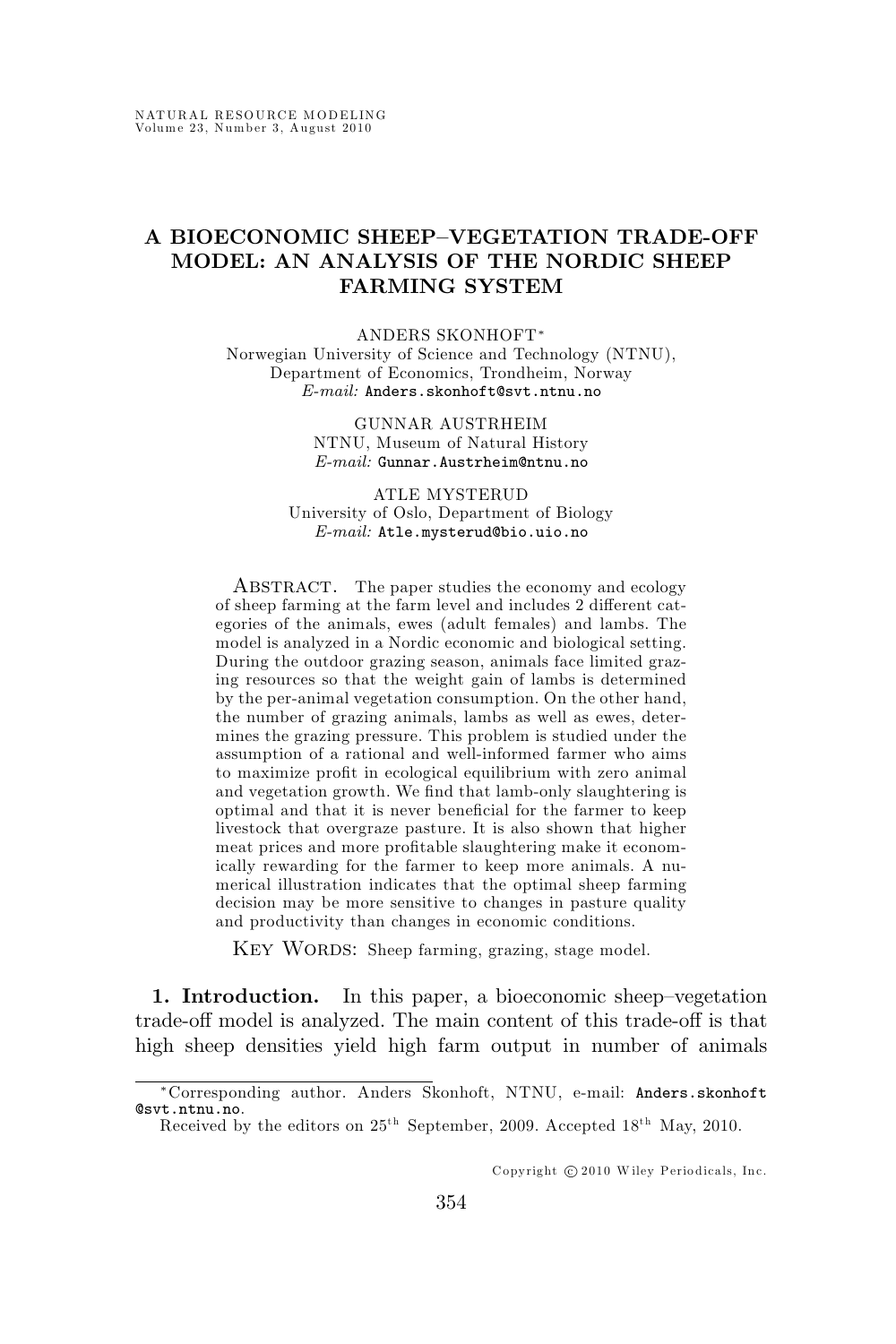# **A BIOECONOMIC SHEEP–VEGETATION TRADE-OFF MODEL: AN ANALYSIS OF THE NORDIC SHEEP FARMING SYSTEM**

ANDERS SKONHOFT<sup>∗</sup> Norwegian University of Science and Technology (NTNU), Department of Economics, Trondheim, Norway  $E$ -mail: Anders.skonhoft@svt.ntnu.no

> GUNNAR AUSTRHEIM NTNU, Museum of Natural History E-mail: Gunnar.Austrheim@ntnu.no

ATLE MYSTERUD University of Oslo, Department of Biology E-mail: Atle.mysterud@bio.uio.no

ABSTRACT. The paper studies the economy and ecology of sheep farming at the farm level and includes 2 different categories of the animals, ewes (adult females) and lambs. The model is analyzed in a Nordic economic and biological setting. During the outdoor grazing season, animals face limited grazing resources so that the weight gain of lambs is determined by the per-animal vegetation consumption. On the other hand, the number of grazing animals, lambs as well as ewes, determines the grazing pressure. This problem is studied under the assumption of a rational and well-informed farmer who aims to maximize profit in ecological equilibrium with zero animal and vegetation growth. We find that lamb-only slaughtering is optimal and that it is never beneficial for the farmer to keep livestock that overgraze pasture. It is also shown that higher meat prices and more profitable slaughtering make it economically rewarding for the farmer to keep more animals. A numerical illustration indicates that the optimal sheep farming decision may be more sensitive to changes in pasture quality and productivity than changes in economic conditions.

KEY WORDS: Sheep farming, grazing, stage model.

**1. Introduction.** In this paper, a bioeconomic sheep–vegetation trade-off model is analyzed. The main content of this trade-off is that high sheep densities yield high farm output in number of animals

Copyright  $\odot$  2010 Wiley Periodicals, Inc.

<sup>∗</sup>Corresponding author. Anders Skonhoft, NTNU, e-mail: Anders.skonhoft

Received by the editors on  $25<sup>th</sup>$  September, 2009. Accepted  $18<sup>th</sup>$  May, 2010.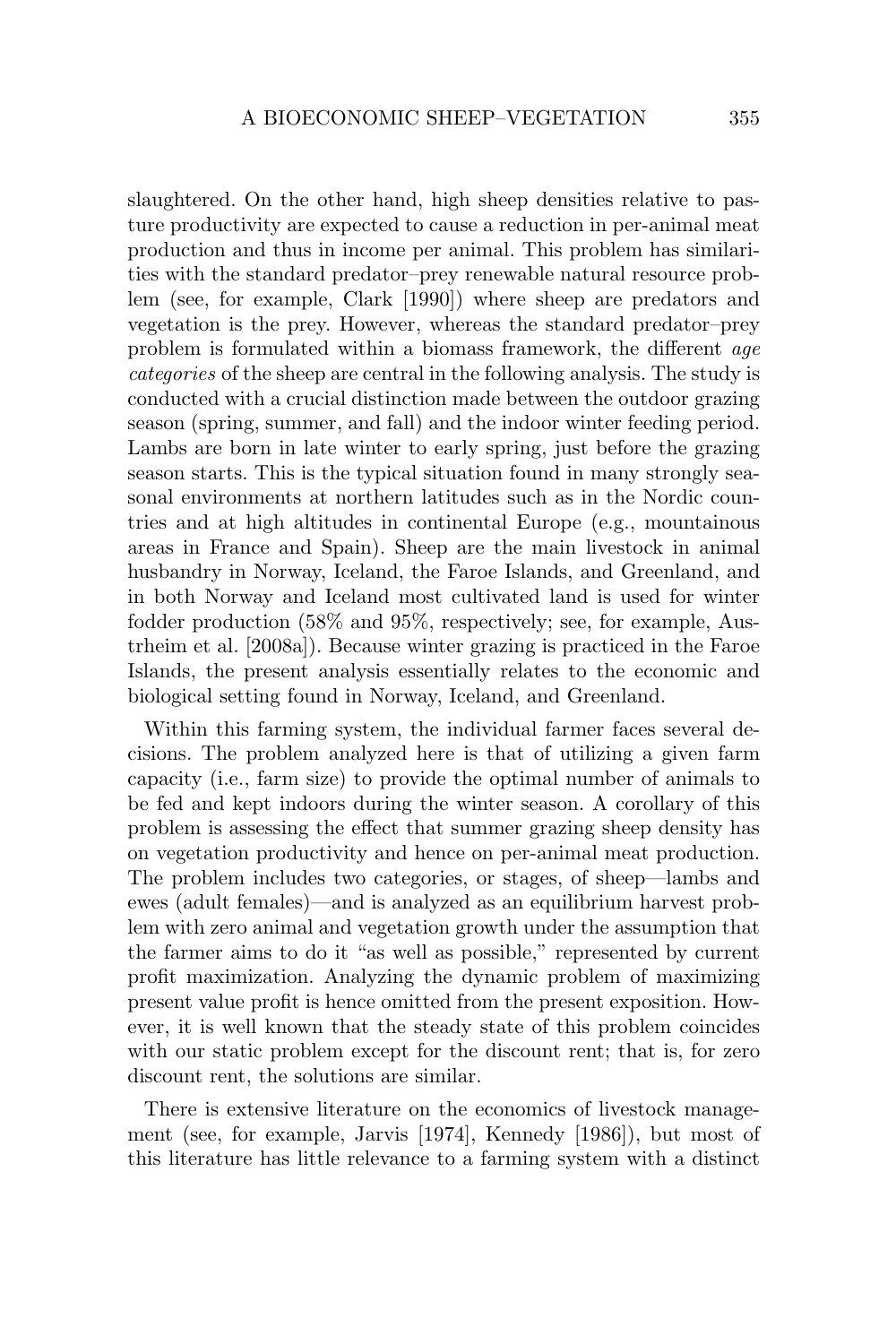slaughtered. On the other hand, high sheep densities relative to pasture productivity are expected to cause a reduction in per-animal meat production and thus in income per animal. This problem has similarities with the standard predator–prey renewable natural resource problem (see, for example, Clark [1990]) where sheep are predators and vegetation is the prey. However, whereas the standard predator–prey problem is formulated within a biomass framework, the different age categories of the sheep are central in the following analysis. The study is conducted with a crucial distinction made between the outdoor grazing season (spring, summer, and fall) and the indoor winter feeding period. Lambs are born in late winter to early spring, just before the grazing season starts. This is the typical situation found in many strongly seasonal environments at northern latitudes such as in the Nordic countries and at high altitudes in continental Europe (e.g., mountainous areas in France and Spain). Sheep are the main livestock in animal husbandry in Norway, Iceland, the Faroe Islands, and Greenland, and in both Norway and Iceland most cultivated land is used for winter fodder production (58% and 95%, respectively; see, for example, Austrheim et al. [2008a]). Because winter grazing is practiced in the Faroe Islands, the present analysis essentially relates to the economic and biological setting found in Norway, Iceland, and Greenland.

Within this farming system, the individual farmer faces several decisions. The problem analyzed here is that of utilizing a given farm capacity (i.e., farm size) to provide the optimal number of animals to be fed and kept indoors during the winter season. A corollary of this problem is assessing the effect that summer grazing sheep density has on vegetation productivity and hence on per-animal meat production. The problem includes two categories, or stages, of sheep—lambs and ewes (adult females)—and is analyzed as an equilibrium harvest problem with zero animal and vegetation growth under the assumption that the farmer aims to do it "as well as possible," represented by current profit maximization. Analyzing the dynamic problem of maximizing present value profit is hence omitted from the present exposition. However, it is well known that the steady state of this problem coincides with our static problem except for the discount rent; that is, for zero discount rent, the solutions are similar.

There is extensive literature on the economics of livestock management (see, for example, Jarvis [1974], Kennedy [1986]), but most of this literature has little relevance to a farming system with a distinct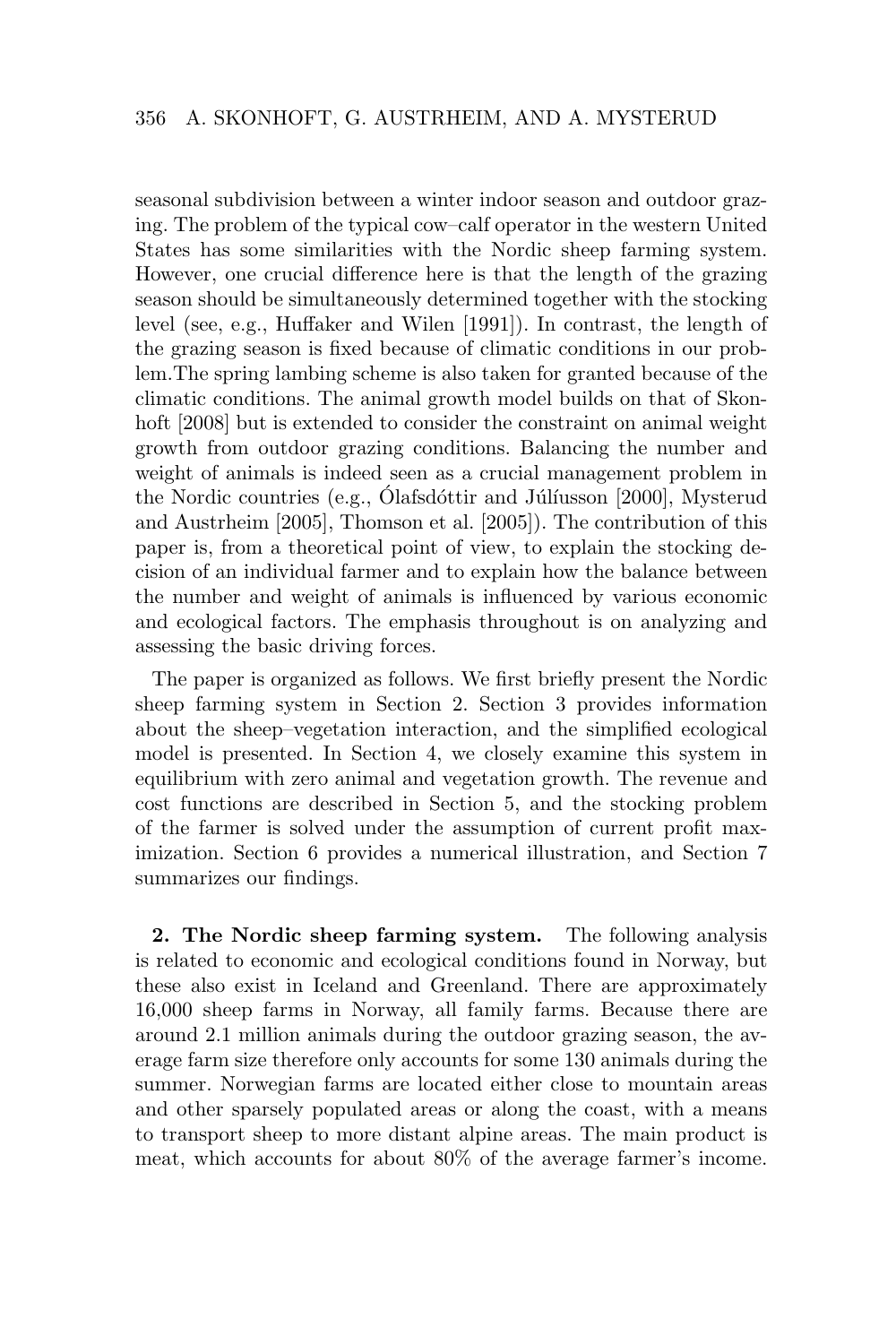seasonal subdivision between a winter indoor season and outdoor grazing. The problem of the typical cow–calf operator in the western United States has some similarities with the Nordic sheep farming system. However, one crucial difference here is that the length of the grazing season should be simultaneously determined together with the stocking level (see, e.g., Huffaker and Wilen [1991]). In contrast, the length of the grazing season is fixed because of climatic conditions in our problem.The spring lambing scheme is also taken for granted because of the climatic conditions. The animal growth model builds on that of Skonhoft [2008] but is extended to consider the constraint on animal weight growth from outdoor grazing conditions. Balancing the number and weight of animals is indeed seen as a crucial management problem in the Nordic countries (e.g., Ólafsdóttir and Júlíusson [2000], Mysterud and Austrheim [2005], Thomson et al. [2005]). The contribution of this paper is, from a theoretical point of view, to explain the stocking decision of an individual farmer and to explain how the balance between the number and weight of animals is influenced by various economic and ecological factors. The emphasis throughout is on analyzing and assessing the basic driving forces.

The paper is organized as follows. We first briefly present the Nordic sheep farming system in Section 2. Section 3 provides information about the sheep–vegetation interaction, and the simplified ecological model is presented. In Section 4, we closely examine this system in equilibrium with zero animal and vegetation growth. The revenue and cost functions are described in Section 5, and the stocking problem of the farmer is solved under the assumption of current profit maximization. Section 6 provides a numerical illustration, and Section 7 summarizes our findings.

**2. The Nordic sheep farming system.** The following analysis is related to economic and ecological conditions found in Norway, but these also exist in Iceland and Greenland. There are approximately 16,000 sheep farms in Norway, all family farms. Because there are around 2.1 million animals during the outdoor grazing season, the average farm size therefore only accounts for some 130 animals during the summer. Norwegian farms are located either close to mountain areas and other sparsely populated areas or along the coast, with a means to transport sheep to more distant alpine areas. The main product is meat, which accounts for about 80% of the average farmer's income.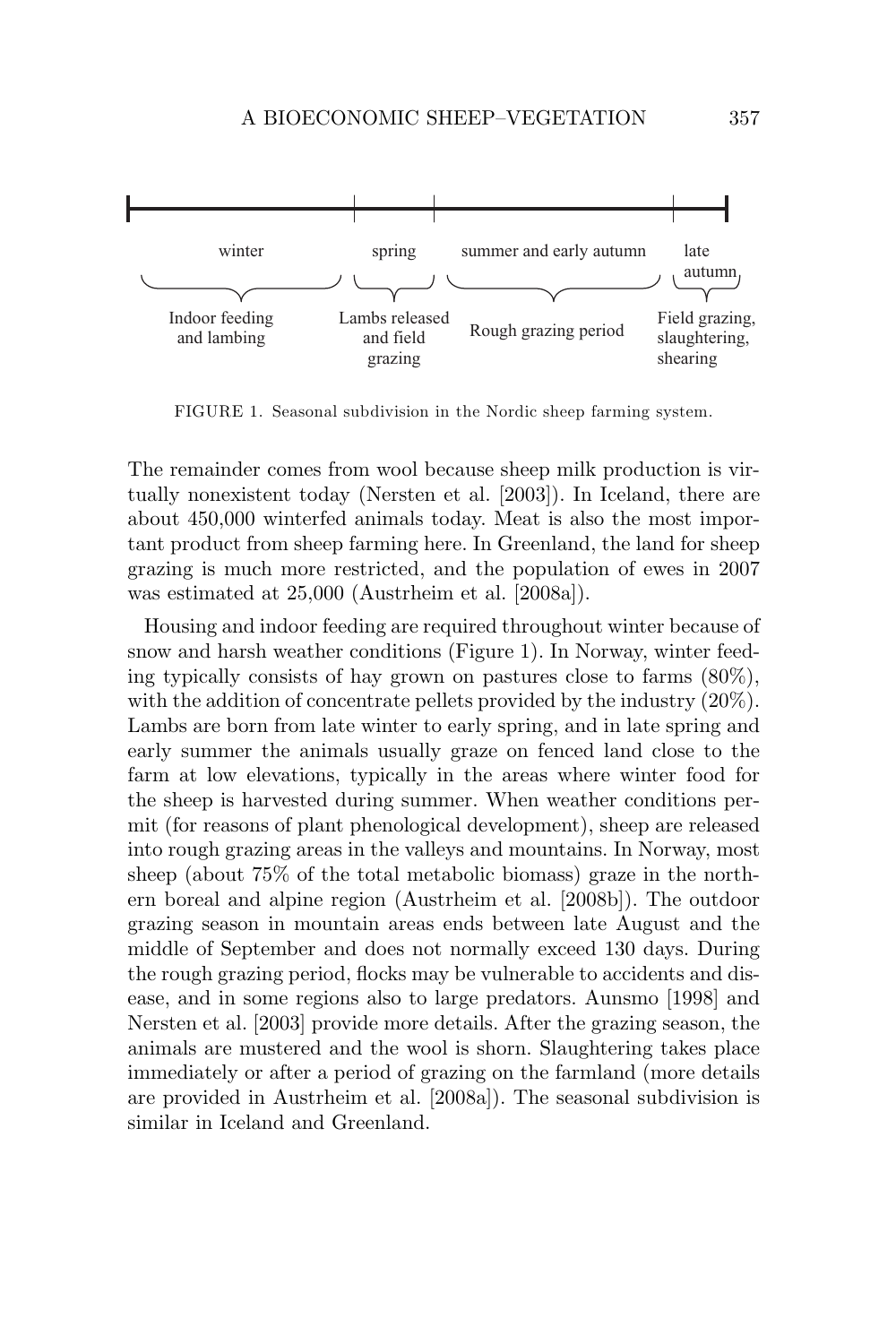

FIGURE 1. Seasonal subdivision in the Nordic sheep farming system.

The remainder comes from wool because sheep milk production is virtually nonexistent today (Nersten et al. [2003]). In Iceland, there are about 450,000 winterfed animals today. Meat is also the most important product from sheep farming here. In Greenland, the land for sheep grazing is much more restricted, and the population of ewes in 2007 was estimated at 25,000 (Austrheim et al. [2008a]).

Housing and indoor feeding are required throughout winter because of snow and harsh weather conditions (Figure 1). In Norway, winter feeding typically consists of hay grown on pastures close to farms (80%), with the addition of concentrate pellets provided by the industry  $(20\%)$ . Lambs are born from late winter to early spring, and in late spring and early summer the animals usually graze on fenced land close to the farm at low elevations, typically in the areas where winter food for the sheep is harvested during summer. When weather conditions permit (for reasons of plant phenological development), sheep are released into rough grazing areas in the valleys and mountains. In Norway, most sheep (about 75% of the total metabolic biomass) graze in the northern boreal and alpine region (Austrheim et al. [2008b]). The outdoor grazing season in mountain areas ends between late August and the middle of September and does not normally exceed 130 days. During the rough grazing period, flocks may be vulnerable to accidents and disease, and in some regions also to large predators. Aunsmo [1998] and Nersten et al. [2003] provide more details. After the grazing season, the animals are mustered and the wool is shorn. Slaughtering takes place immediately or after a period of grazing on the farmland (more details are provided in Austrheim et al. [2008a]). The seasonal subdivision is similar in Iceland and Greenland.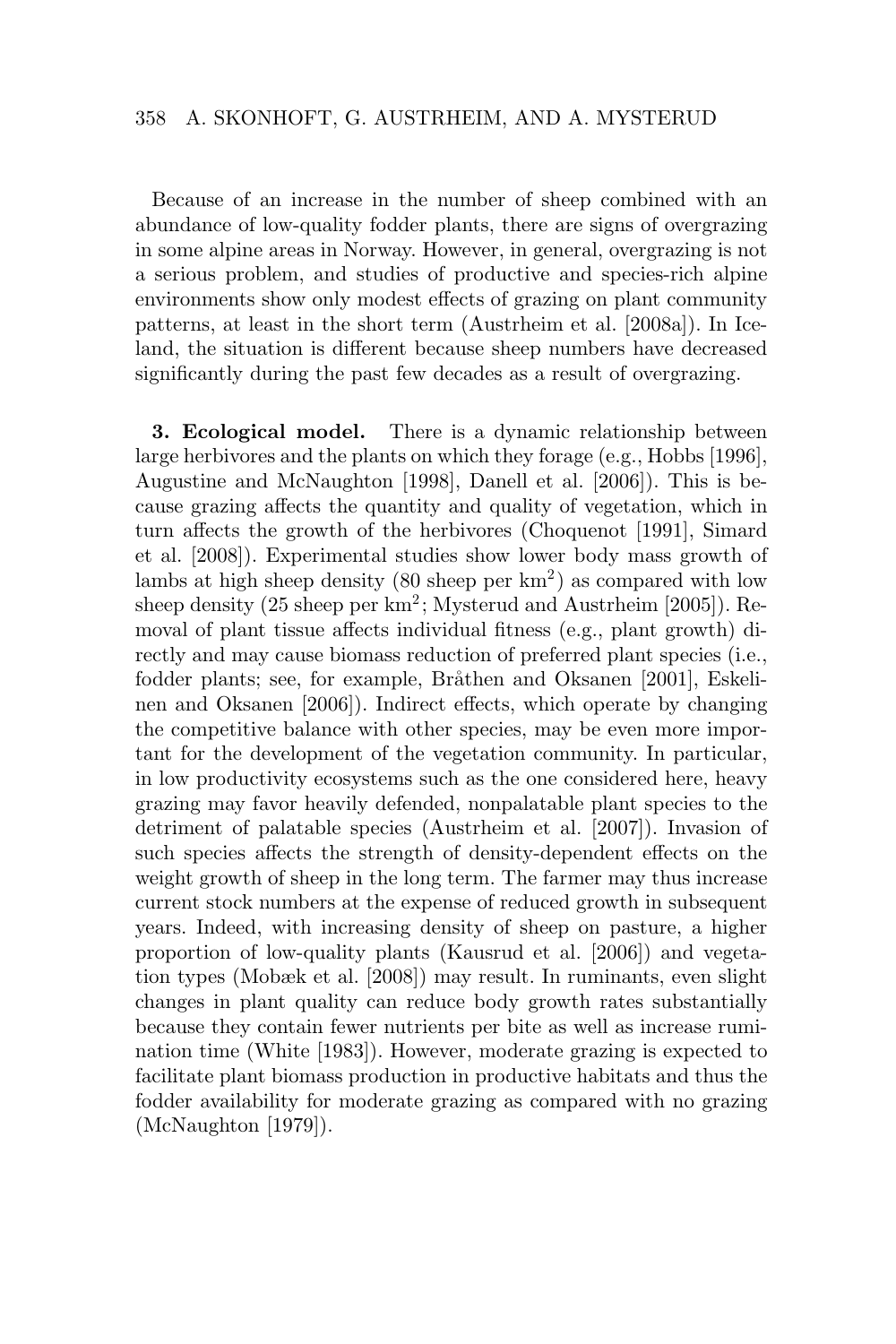Because of an increase in the number of sheep combined with an abundance of low-quality fodder plants, there are signs of overgrazing in some alpine areas in Norway. However, in general, overgrazing is not a serious problem, and studies of productive and species-rich alpine environments show only modest effects of grazing on plant community patterns, at least in the short term (Austrheim et al. [2008a]). In Iceland, the situation is different because sheep numbers have decreased significantly during the past few decades as a result of overgrazing.

**3. Ecological model.** There is a dynamic relationship between large herbivores and the plants on which they forage (e.g., Hobbs [1996], Augustine and McNaughton [1998], Danell et al. [2006]). This is because grazing affects the quantity and quality of vegetation, which in turn affects the growth of the herbivores (Choquenot [1991], Simard et al. [2008]). Experimental studies show lower body mass growth of lambs at high sheep density  $(80 \text{ sheep per km}^2)$  as compared with low sheep density  $(25 \text{ sheep per km}^2;$  Mysterud and Austrheim [2005]). Removal of plant tissue affects individual fitness (e.g., plant growth) directly and may cause biomass reduction of preferred plant species (i.e., fodder plants; see, for example, Bråthen and Oksanen [2001], Eskelinen and Oksanen [2006]). Indirect effects, which operate by changing the competitive balance with other species, may be even more important for the development of the vegetation community. In particular, in low productivity ecosystems such as the one considered here, heavy grazing may favor heavily defended, nonpalatable plant species to the detriment of palatable species (Austrheim et al. [2007]). Invasion of such species affects the strength of density-dependent effects on the weight growth of sheep in the long term. The farmer may thus increase current stock numbers at the expense of reduced growth in subsequent years. Indeed, with increasing density of sheep on pasture, a higher proportion of low-quality plants (Kausrud et al. [2006]) and vegetation types (Mobæk et al. [2008]) may result. In ruminants, even slight changes in plant quality can reduce body growth rates substantially because they contain fewer nutrients per bite as well as increase rumination time (White [1983]). However, moderate grazing is expected to facilitate plant biomass production in productive habitats and thus the fodder availability for moderate grazing as compared with no grazing (McNaughton [1979]).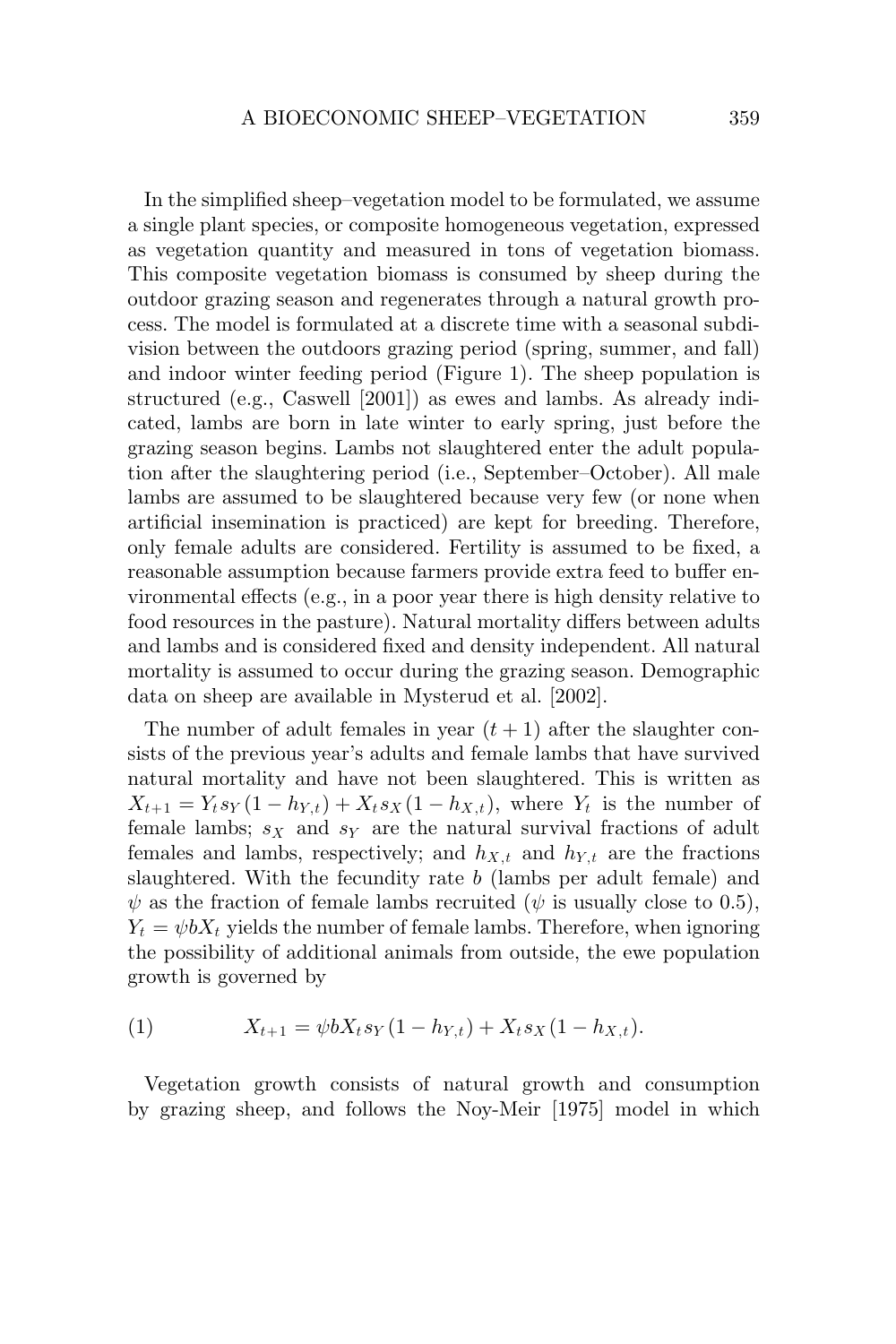In the simplified sheep–vegetation model to be formulated, we assume a single plant species, or composite homogeneous vegetation, expressed as vegetation quantity and measured in tons of vegetation biomass. This composite vegetation biomass is consumed by sheep during the outdoor grazing season and regenerates through a natural growth process. The model is formulated at a discrete time with a seasonal subdivision between the outdoors grazing period (spring, summer, and fall) and indoor winter feeding period (Figure 1). The sheep population is structured (e.g., Caswell [2001]) as ewes and lambs. As already indicated, lambs are born in late winter to early spring, just before the grazing season begins. Lambs not slaughtered enter the adult population after the slaughtering period (i.e., September–October). All male lambs are assumed to be slaughtered because very few (or none when artificial insemination is practiced) are kept for breeding. Therefore, only female adults are considered. Fertility is assumed to be fixed, a reasonable assumption because farmers provide extra feed to buffer environmental effects (e.g., in a poor year there is high density relative to food resources in the pasture). Natural mortality differs between adults and lambs and is considered fixed and density independent. All natural mortality is assumed to occur during the grazing season. Demographic data on sheep are available in Mysterud et al. [2002].

The number of adult females in year  $(t + 1)$  after the slaughter consists of the previous year's adults and female lambs that have survived natural mortality and have not been slaughtered. This is written as  $X_{t+1} = Y_t s_Y (1 - h_{Y,t}) + X_t s_X (1 - h_{X,t}),$  where  $Y_t$  is the number of female lambs;  $s_X$  and  $s_Y$  are the natural survival fractions of adult females and lambs, respectively; and  $h_{X,t}$  and  $h_{Y,t}$  are the fractions slaughtered. With the fecundity rate b (lambs per adult female) and  $\psi$  as the fraction of female lambs recruited ( $\psi$  is usually close to 0.5),  $Y_t = \psi b X_t$  yields the number of female lambs. Therefore, when ignoring the possibility of additional animals from outside, the ewe population growth is governed by

(1) 
$$
X_{t+1} = \psi b X_t s_Y (1 - h_{Y,t}) + X_t s_X (1 - h_{X,t}).
$$

Vegetation growth consists of natural growth and consumption by grazing sheep, and follows the Noy-Meir [1975] model in which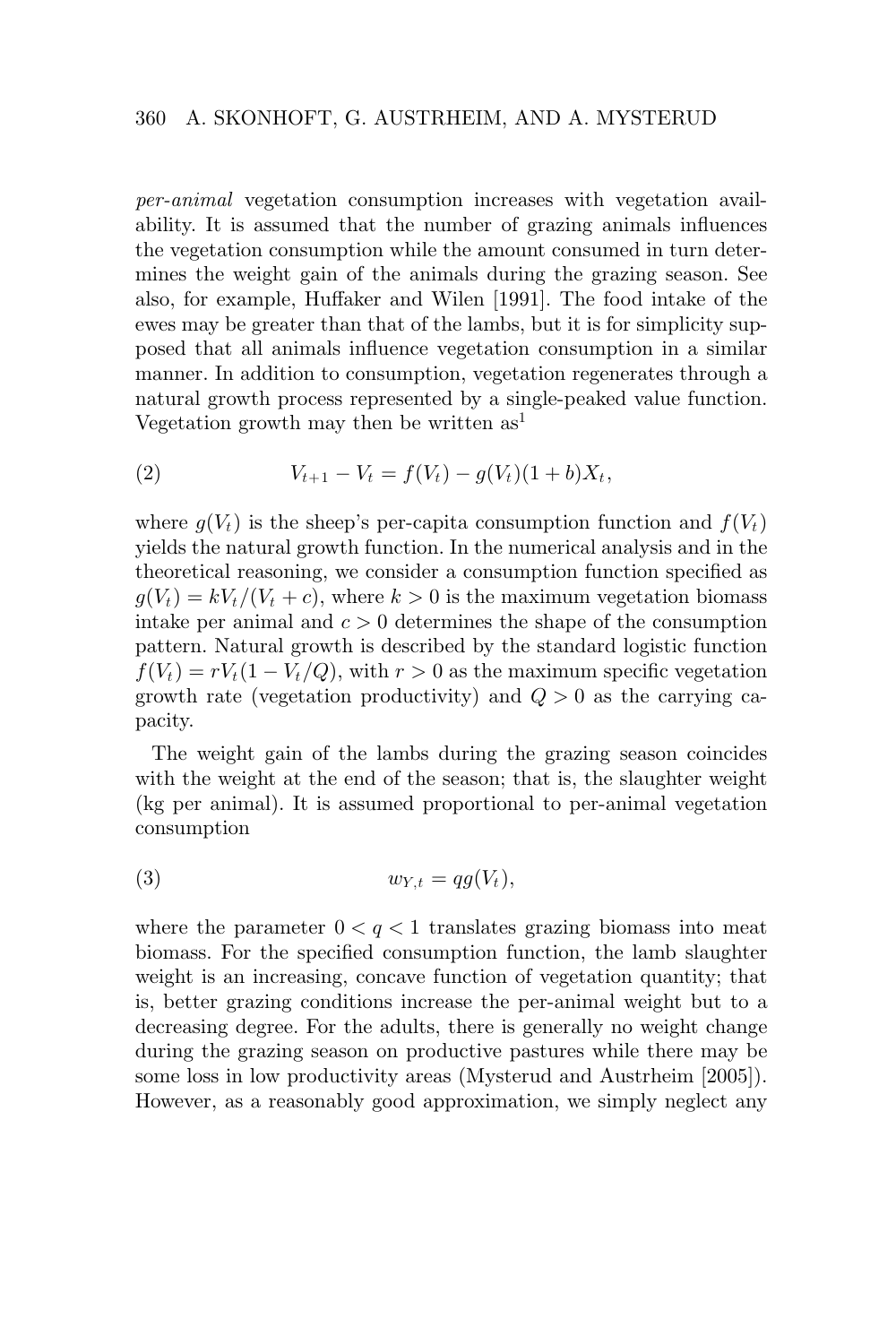per-animal vegetation consumption increases with vegetation availability. It is assumed that the number of grazing animals influences the vegetation consumption while the amount consumed in turn determines the weight gain of the animals during the grazing season. See also, for example, Huffaker and Wilen [1991]. The food intake of the ewes may be greater than that of the lambs, but it is for simplicity supposed that all animals influence vegetation consumption in a similar manner. In addition to consumption, vegetation regenerates through a natural growth process represented by a single-peaked value function. Vegetation growth may then be written  $as<sup>1</sup>$ 

(2) 
$$
V_{t+1} - V_t = f(V_t) - g(V_t)(1+b)X_t,
$$

where  $g(V_t)$  is the sheep's per-capita consumption function and  $f(V_t)$ yields the natural growth function. In the numerical analysis and in the theoretical reasoning, we consider a consumption function specified as  $g(V_t) = kV_t/(V_t + c)$ , where  $k > 0$  is the maximum vegetation biomass intake per animal and  $c > 0$  determines the shape of the consumption pattern. Natural growth is described by the standard logistic function  $f(V_t) = rV_t(1 - V_t/Q)$ , with  $r > 0$  as the maximum specific vegetation growth rate (vegetation productivity) and  $Q > 0$  as the carrying capacity.

The weight gain of the lambs during the grazing season coincides with the weight at the end of the season; that is, the slaughter weight (kg per animal). It is assumed proportional to per-animal vegetation consumption

$$
(3) \t\t\t w_{Y,t} = qg(V_t),
$$

where the parameter  $0 < q < 1$  translates grazing biomass into meat biomass. For the specified consumption function, the lamb slaughter weight is an increasing, concave function of vegetation quantity; that is, better grazing conditions increase the per-animal weight but to a decreasing degree. For the adults, there is generally no weight change during the grazing season on productive pastures while there may be some loss in low productivity areas (Mysterud and Austrheim [2005]). However, as a reasonably good approximation, we simply neglect any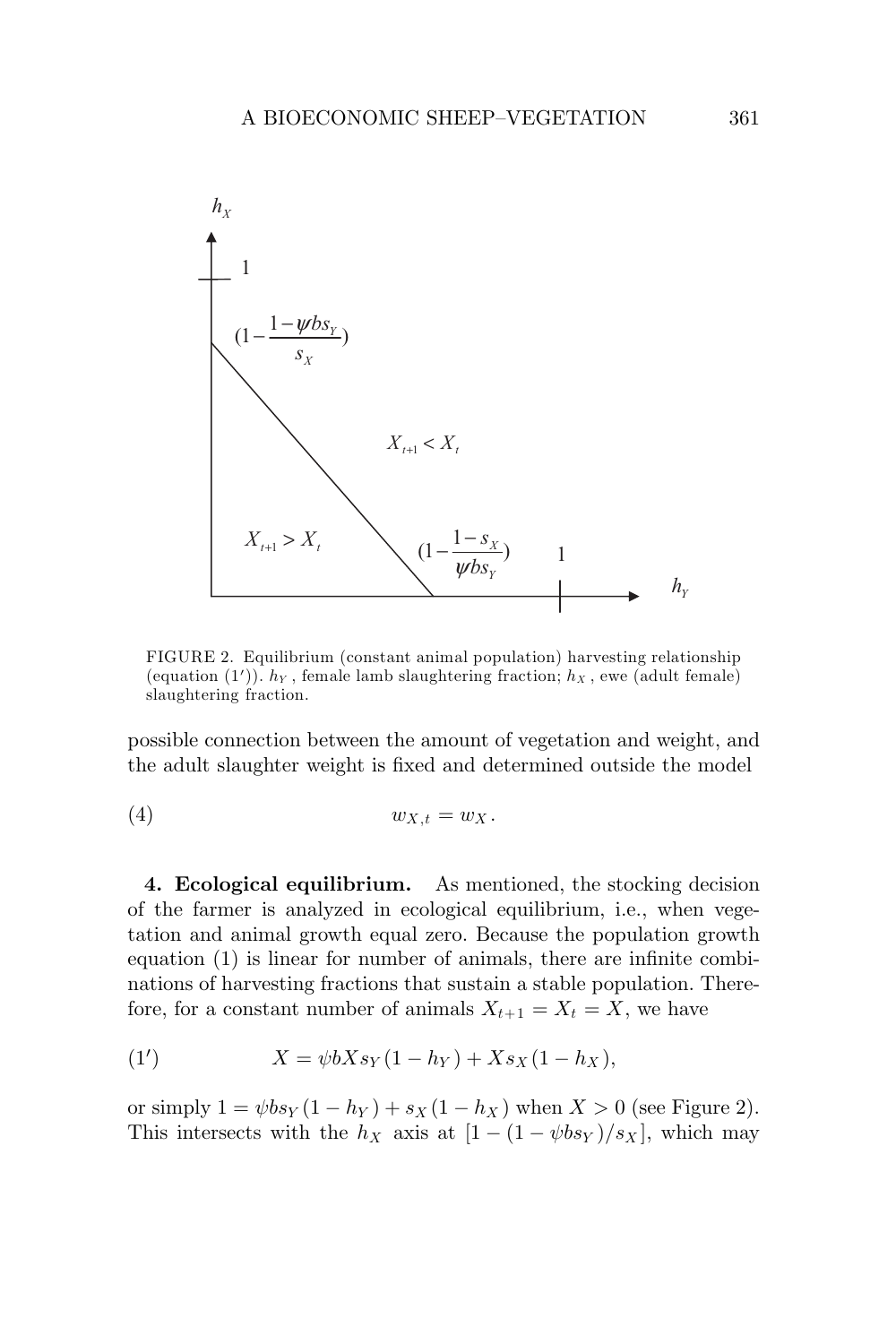

FIGURE 2. Equilibrium (constant animal population) harvesting relationship (equation  $(1')$ ).  $h_Y$ , female lamb slaughtering fraction;  $h_X$ , ewe (adult female) slaughtering fraction.

possible connection between the amount of vegetation and weight, and the adult slaughter weight is fixed and determined outside the model

$$
(4) \t\t w_{X,t} = w_X.
$$

**4. Ecological equilibrium.** As mentioned, the stocking decision of the farmer is analyzed in ecological equilibrium, i.e., when vegetation and animal growth equal zero. Because the population growth equation (1) is linear for number of animals, there are infinite combinations of harvesting fractions that sustain a stable population. Therefore, for a constant number of animals  $X_{t+1} = X_t = X$ , we have

(1') 
$$
X = \psi b X s_Y (1 - h_Y) + X s_X (1 - h_X),
$$

or simply  $1 = \psi bs_Y (1 - h_Y) + s_X (1 - h_X)$  when  $X > 0$  (see Figure 2). This intersects with the  $h_X$  axis at  $[1-(1-\psi bs_Y)/s_X]$ , which may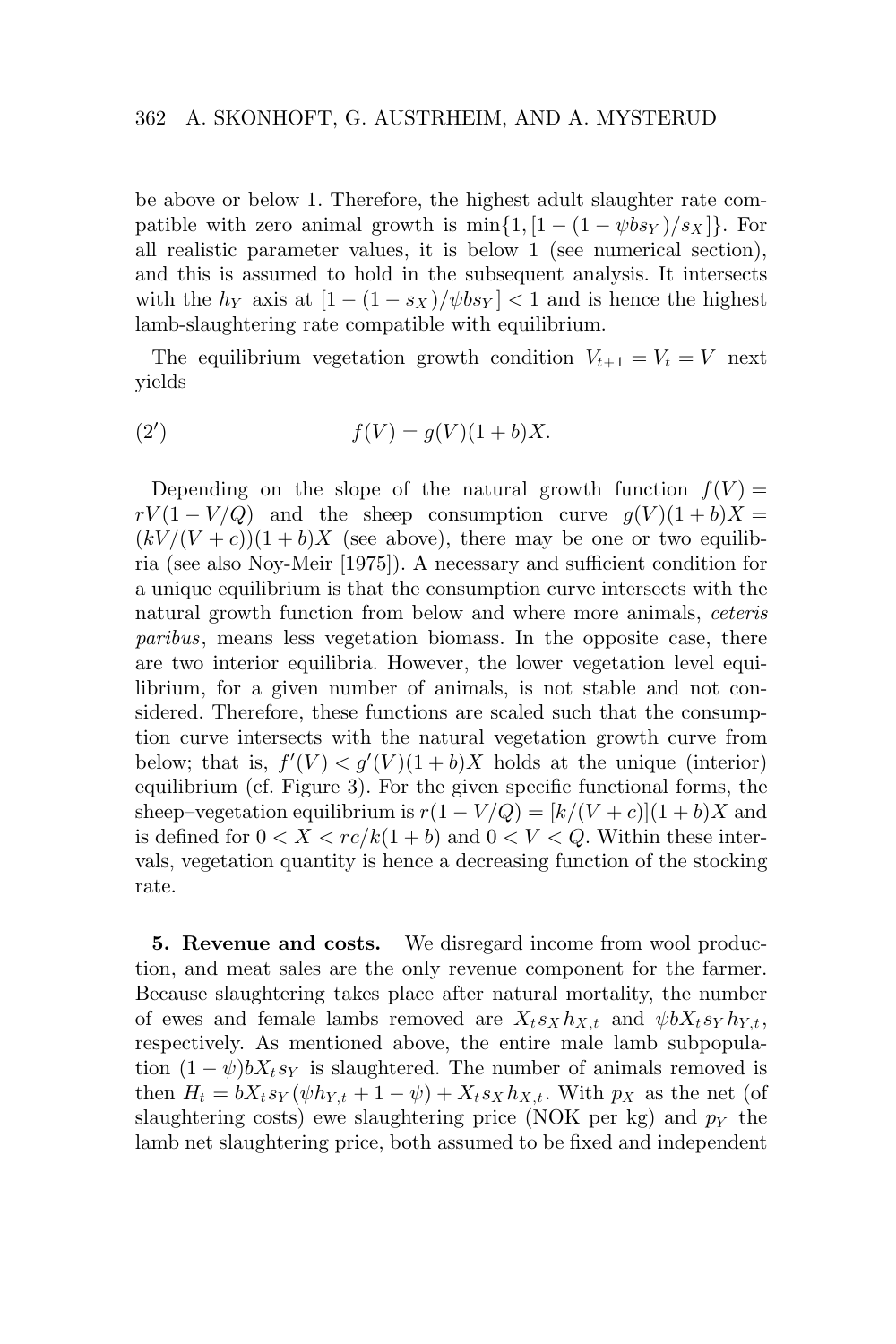### 362 A. SKONHOFT, G. AUSTRHEIM, AND A. MYSTERUD

be above or below 1. Therefore, the highest adult slaughter rate compatible with zero animal growth is  $\min\{1, [1 - (1 - \psi b s_Y)/s_X]\}.$  For all realistic parameter values, it is below 1 (see numerical section), and this is assumed to hold in the subsequent analysis. It intersects with the  $h_Y$  axis at  $\left[1 - \frac{(1 - s_X)}{\psi b s_Y}\right] < 1$  and is hence the highest lamb-slaughtering rate compatible with equilibrium.

The equilibrium vegetation growth condition  $V_{t+1} = V_t = V$  next yields

$$
(2') \qquad \qquad f(V) = g(V)(1+b)X.
$$

Depending on the slope of the natural growth function  $f(V) =$  $rV(1-V/Q)$  and the sheep consumption curve  $q(V)(1+b)X =$  $(kV/(V+c))(1+b)X$  (see above), there may be one or two equilibria (see also Noy-Meir [1975]). A necessary and sufficient condition for a unique equilibrium is that the consumption curve intersects with the natural growth function from below and where more animals, ceteris paribus, means less vegetation biomass. In the opposite case, there are two interior equilibria. However, the lower vegetation level equilibrium, for a given number of animals, is not stable and not considered. Therefore, these functions are scaled such that the consumption curve intersects with the natural vegetation growth curve from below; that is,  $f'(V) < g'(V)(1 + b)X$  holds at the unique (interior) equilibrium (cf. Figure 3). For the given specific functional forms, the sheep–vegetation equilibrium is  $r(1 - V/Q) = [k/(V + c)](1 + b)X$  and is defined for  $0 < X < rc/k(1 + b)$  and  $0 < V < Q$ . Within these intervals, vegetation quantity is hence a decreasing function of the stocking rate.

**5. Revenue and costs.** We disregard income from wool production, and meat sales are the only revenue component for the farmer. Because slaughtering takes place after natural mortality, the number of ewes and female lambs removed are  $X_t s_X h_{X,t}$  and  $\psi b X_t s_Y h_{Y,t}$ , respectively. As mentioned above, the entire male lamb subpopulation  $(1 - \psi)bX_t s_Y$  is slaughtered. The number of animals removed is then  $H_t = bX_ts_Y(\psi h_{Y,t} + 1 - \psi) + X_ts_Xh_{X,t}$ . With  $p_X$  as the net (of slaughtering costs) ewe slaughtering price (NOK per kg) and  $p<sub>Y</sub>$  the lamb net slaughtering price, both assumed to be fixed and independent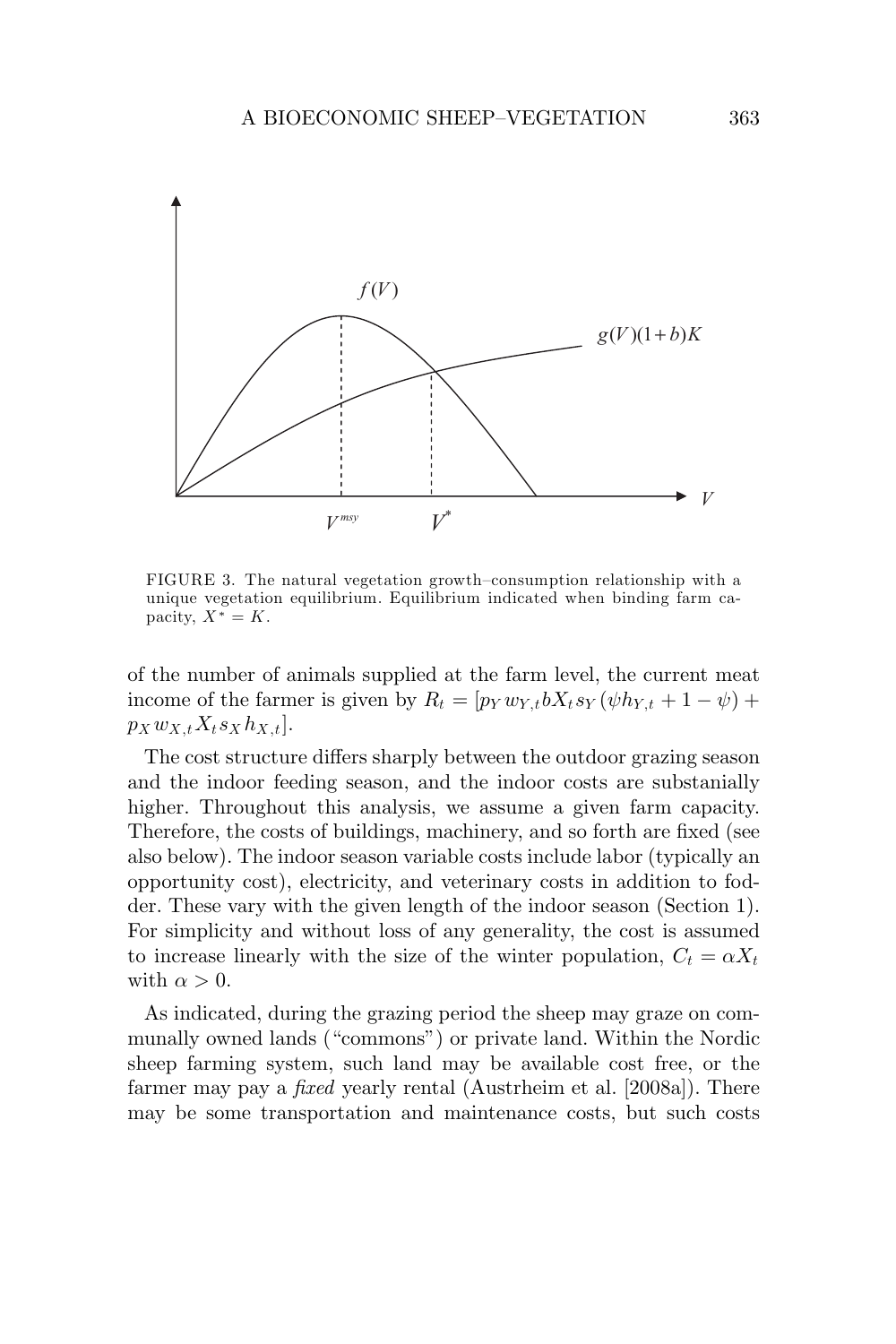

FIGURE 3. The natural vegetation growth–consumption relationship with a unique vegetation equilibrium. Equilibrium indicated when binding farm capacity,  $X^* = K$ .

of the number of animals supplied at the farm level, the current meat income of the farmer is given by  $R_t = [p_Y w_{Y,t} bX_t s_Y (\psi h_{Y,t} + 1 - \psi) +$  $p_X w_{X,t} X_t s_X h_{X,t}$ .

The cost structure differs sharply between the outdoor grazing season and the indoor feeding season, and the indoor costs are substanially higher. Throughout this analysis, we assume a given farm capacity. Therefore, the costs of buildings, machinery, and so forth are fixed (see also below). The indoor season variable costs include labor (typically an opportunity cost), electricity, and veterinary costs in addition to fodder. These vary with the given length of the indoor season (Section 1). For simplicity and without loss of any generality, the cost is assumed to increase linearly with the size of the winter population,  $C_t = \alpha X_t$ with  $\alpha > 0$ .

As indicated, during the grazing period the sheep may graze on communally owned lands ("commons") or private land. Within the Nordic sheep farming system, such land may be available cost free, or the farmer may pay a *fixed* yearly rental (Austrheim et al. [2008a]). There may be some transportation and maintenance costs, but such costs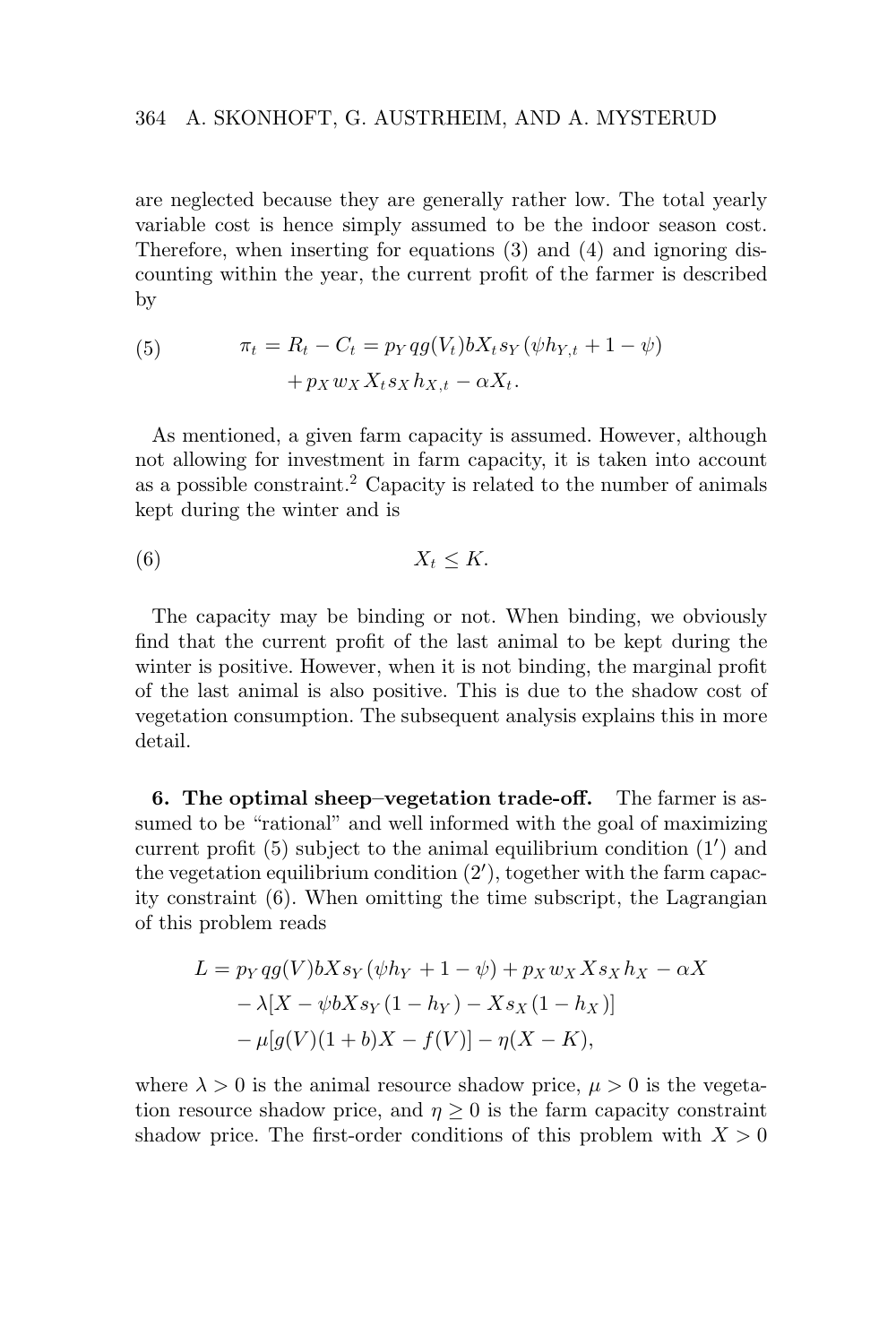are neglected because they are generally rather low. The total yearly variable cost is hence simply assumed to be the indoor season cost. Therefore, when inserting for equations (3) and (4) and ignoring discounting within the year, the current profit of the farmer is described by

(5) 
$$
\pi_t = R_t - C_t = p_Y qg(V_t)bX_ts_Y(\psi h_{Y,t} + 1 - \psi) + p_X w_X X_ts_X h_{X,t} - \alpha X_t.
$$

As mentioned, a given farm capacity is assumed. However, although not allowing for investment in farm capacity, it is taken into account as a possible constraint.2 Capacity is related to the number of animals kept during the winter and is

$$
(6) \t\t X_t \leq K.
$$

The capacity may be binding or not. When binding, we obviously find that the current profit of the last animal to be kept during the winter is positive. However, when it is not binding, the marginal profit of the last animal is also positive. This is due to the shadow cost of vegetation consumption. The subsequent analysis explains this in more detail.

**6. The optimal sheep–vegetation trade-off.** The farmer is assumed to be "rational" and well informed with the goal of maximizing current profit  $(5)$  subject to the animal equilibrium condition  $(1')$  and the vegetation equilibrium condition  $(2')$ , together with the farm capacity constraint (6). When omitting the time subscript, the Lagrangian of this problem reads

$$
L = p_Y qg(V)bXs_Y(\psi h_Y + 1 - \psi) + p_X w_X Xs_X h_X - \alpha X
$$
  

$$
-\lambda[X - \psi bXs_Y(1 - h_Y) - Xs_X(1 - h_X)]
$$
  

$$
-\mu[g(V)(1 + b)X - f(V)] - \eta(X - K),
$$

where  $\lambda > 0$  is the animal resource shadow price,  $\mu > 0$  is the vegetation resource shadow price, and  $\eta \geq 0$  is the farm capacity constraint shadow price. The first-order conditions of this problem with  $X > 0$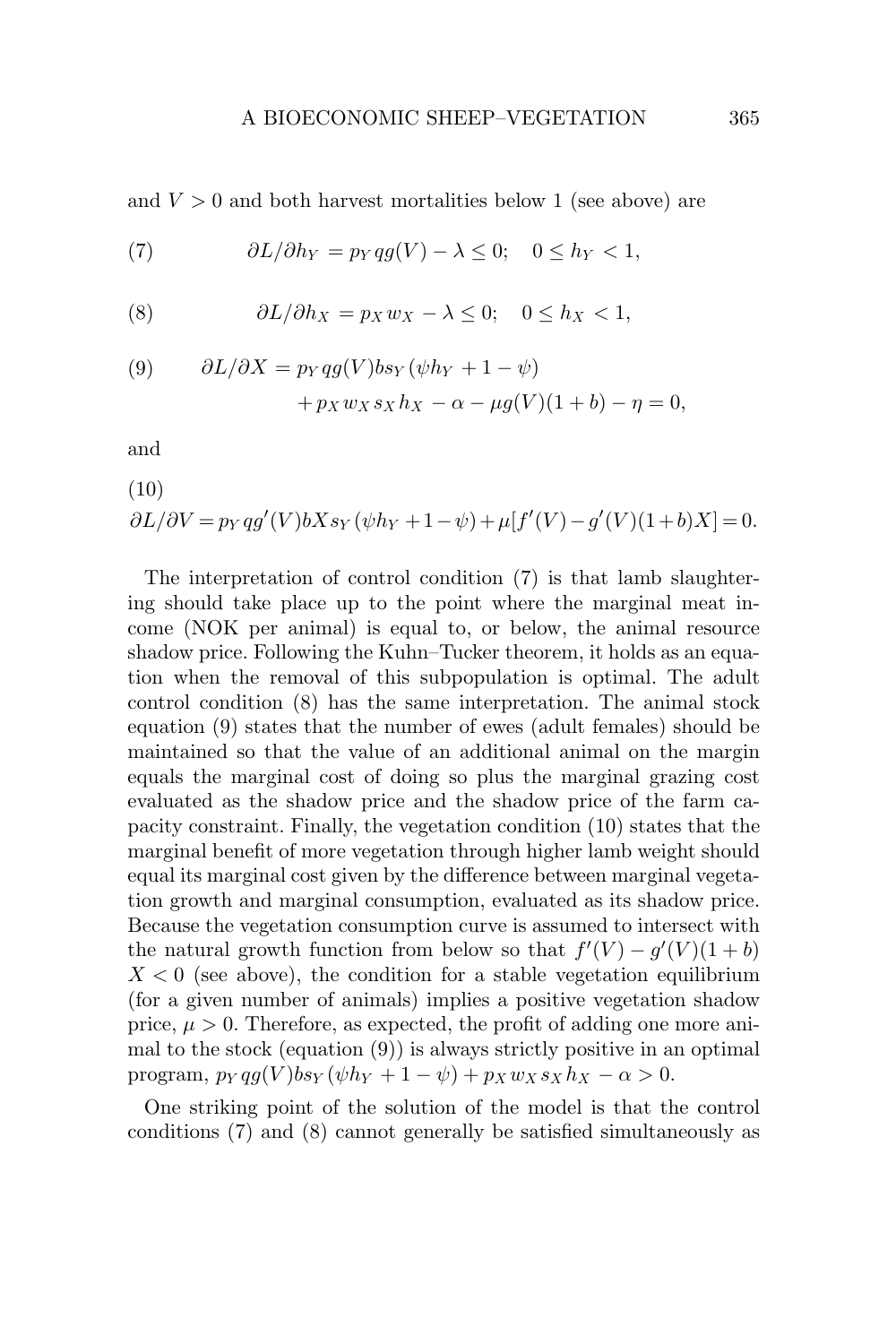and  $V > 0$  and both harvest mortalities below 1 (see above) are

(7) 
$$
\partial L/\partial h_Y = p_Y qg(V) - \lambda \leq 0; \quad 0 \leq h_Y < 1,
$$

(8) 
$$
\partial L/\partial h_X = p_X w_X - \lambda \leq 0; \quad 0 \leq h_X < 1,
$$

(9) 
$$
\partial L/\partial X = p_Y qg(V)bs_Y(\psi h_Y + 1 - \psi) + p_X w_X s_X h_X - \alpha - \mu g(V)(1 + b) - \eta = 0,
$$

and

(10)

$$
\frac{\partial L}{\partial V} = p_Y q g'(V) bX s_Y (\psi h_Y + 1 - \psi) + \mu[f'(V) - g'(V)(1 + b)X] = 0.
$$

The interpretation of control condition (7) is that lamb slaughtering should take place up to the point where the marginal meat income (NOK per animal) is equal to, or below, the animal resource shadow price. Following the Kuhn–Tucker theorem, it holds as an equation when the removal of this subpopulation is optimal. The adult control condition (8) has the same interpretation. The animal stock equation (9) states that the number of ewes (adult females) should be maintained so that the value of an additional animal on the margin equals the marginal cost of doing so plus the marginal grazing cost evaluated as the shadow price and the shadow price of the farm capacity constraint. Finally, the vegetation condition (10) states that the marginal benefit of more vegetation through higher lamb weight should equal its marginal cost given by the difference between marginal vegetation growth and marginal consumption, evaluated as its shadow price. Because the vegetation consumption curve is assumed to intersect with the natural growth function from below so that  $f'(V) - g'(V)(1 + b)$  $X < 0$  (see above), the condition for a stable vegetation equilibrium (for a given number of animals) implies a positive vegetation shadow price,  $\mu > 0$ . Therefore, as expected, the profit of adding one more animal to the stock (equation (9)) is always strictly positive in an optimal program,  $p_Y qg(V)bs_Y(\psi h_Y + 1 - \psi) + p_X w_X s_X h_X - \alpha > 0.$ 

One striking point of the solution of the model is that the control conditions (7) and (8) cannot generally be satisfied simultaneously as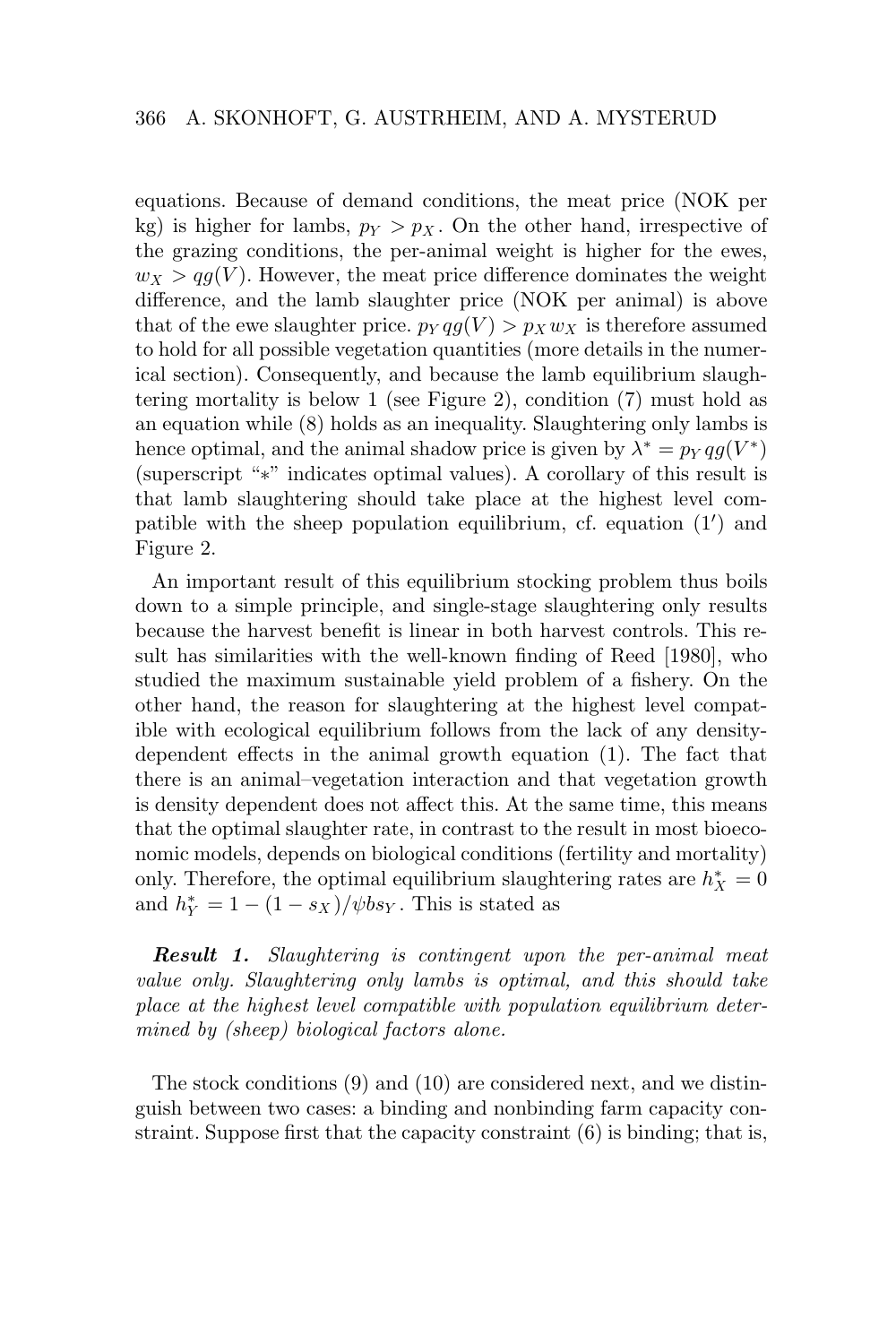equations. Because of demand conditions, the meat price (NOK per kg) is higher for lambs,  $p_Y > p_X$ . On the other hand, irrespective of the grazing conditions, the per-animal weight is higher for the ewes,  $w_X > qq(V)$ . However, the meat price difference dominates the weight difference, and the lamb slaughter price (NOK per animal) is above that of the ewe slaughter price.  $p_Y q_q(V) > p_X w_X$  is therefore assumed to hold for all possible vegetation quantities (more details in the numerical section). Consequently, and because the lamb equilibrium slaughtering mortality is below 1 (see Figure 2), condition (7) must hold as an equation while (8) holds as an inequality. Slaughtering only lambs is hence optimal, and the animal shadow price is given by  $\lambda^* = p_Y q g(V^*)$ (superscript "∗" indicates optimal values). A corollary of this result is that lamb slaughtering should take place at the highest level compatible with the sheep population equilibrium, cf. equation  $(1')$  and Figure 2.

An important result of this equilibrium stocking problem thus boils down to a simple principle, and single-stage slaughtering only results because the harvest benefit is linear in both harvest controls. This result has similarities with the well-known finding of Reed [1980], who studied the maximum sustainable yield problem of a fishery. On the other hand, the reason for slaughtering at the highest level compatible with ecological equilibrium follows from the lack of any densitydependent effects in the animal growth equation (1). The fact that there is an animal–vegetation interaction and that vegetation growth is density dependent does not affect this. At the same time, this means that the optimal slaughter rate, in contrast to the result in most bioeconomic models, depends on biological conditions (fertility and mortality) only. Therefore, the optimal equilibrium slaughtering rates are  $h_X^* = 0$ and  $h_Y^* = 1 - (1 - s_X)/\psi b s_Y$ . This is stated as

*Result 1.* Slaughtering is contingent upon the per-animal meat value only. Slaughtering only lambs is optimal, and this should take place at the highest level compatible with population equilibrium determined by (sheep) biological factors alone.

The stock conditions (9) and (10) are considered next, and we distinguish between two cases: a binding and nonbinding farm capacity constraint. Suppose first that the capacity constraint (6) is binding; that is,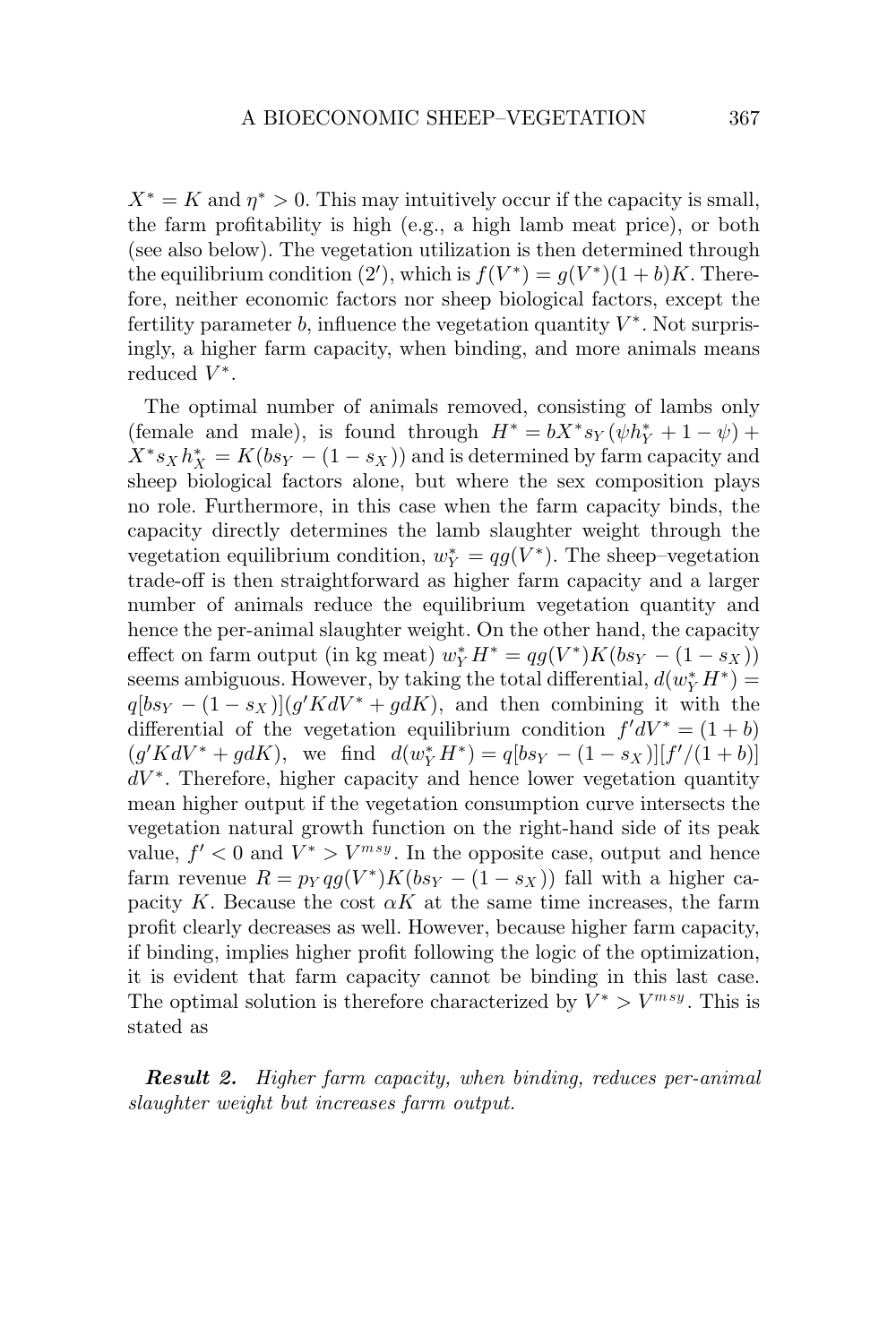$X^* = K$  and  $\eta^* > 0$ . This may intuitively occur if the capacity is small, the farm profitability is high (e.g., a high lamb meat price), or both (see also below). The vegetation utilization is then determined through the equilibrium condition (2'), which is  $f(V^*) = g(V^*)(1 + b)K$ . Therefore, neither economic factors nor sheep biological factors, except the fertility parameter b, influence the vegetation quantity  $V^*$ . Not surprisingly, a higher farm capacity, when binding, and more animals means reduced  $V^*$ .

The optimal number of animals removed, consisting of lambs only (female and male), is found through  $H^* = bX^*s_Y(\psi h_Y^* + 1 - \psi) +$  $X^*s_X h_X^* = K(bs_Y - (1 - s_X))$  and is determined by farm capacity and sheep biological factors alone, but where the sex composition plays no role. Furthermore, in this case when the farm capacity binds, the capacity directly determines the lamb slaughter weight through the vegetation equilibrium condition,  $w_Y^* = qg(V^*)$ . The sheep–vegetation trade-off is then straightforward as higher farm capacity and a larger number of animals reduce the equilibrium vegetation quantity and hence the per-animal slaughter weight. On the other hand, the capacity effect on farm output (in kg meat)  $w_Y^* H^* = qg(V^*)K(bs_Y - (1 - s_X))$ seems ambiguous. However, by taking the total differential,  $d(w_Y^* H^*) =$  $q[bs_Y - (1 - s_X)](g'KdV^* + gdK)$ , and then combining it with the differential of the vegetation equilibrium condition  $f'dV^* = (1 + b)$  $(g'KdV^* + gdK)$ , we find  $d(w_Y^*H^*) = q[bs_Y - (1 - s_X)][f'/(1 + b)]$  $dV^*$ . Therefore, higher capacity and hence lower vegetation quantity mean higher output if the vegetation consumption curve intersects the vegetation natural growth function on the right-hand side of its peak value,  $f' < 0$  and  $V^* > V^{msy}$ . In the opposite case, output and hence farm revenue  $R = p_Y qq(V^*)K(bs_Y - (1 - s_X))$  fall with a higher capacity K. Because the cost  $\alpha K$  at the same time increases, the farm profit clearly decreases as well. However, because higher farm capacity, if binding, implies higher profit following the logic of the optimization, it is evident that farm capacity cannot be binding in this last case. The optimal solution is therefore characterized by  $V^* > V^{msy}$ . This is stated as

*Result 2.* Higher farm capacity, when binding, reduces per-animal slaughter weight but increases farm output.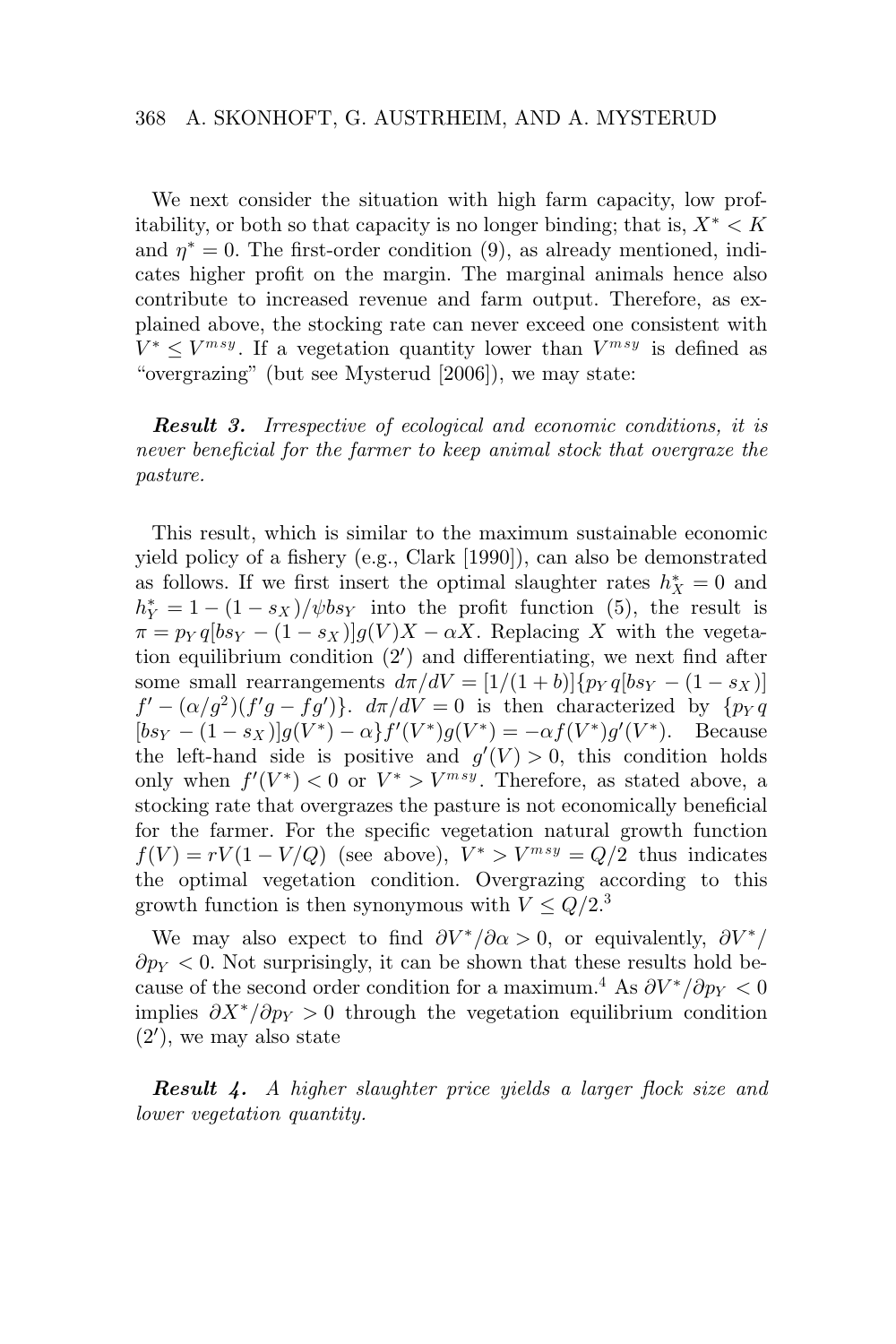We next consider the situation with high farm capacity, low profitability, or both so that capacity is no longer binding; that is,  $X^* < K$ and  $\eta^* = 0$ . The first-order condition (9), as already mentioned, indicates higher profit on the margin. The marginal animals hence also contribute to increased revenue and farm output. Therefore, as explained above, the stocking rate can never exceed one consistent with  $V^* \leq V^{msy}$ . If a vegetation quantity lower than  $V^{msy}$  is defined as "overgrazing" (but see Mysterud [2006]), we may state:

*Result 3.* Irrespective of ecological and economic conditions, it is never beneficial for the farmer to keep animal stock that overgraze the pasture.

This result, which is similar to the maximum sustainable economic yield policy of a fishery (e.g., Clark [1990]), can also be demonstrated as follows. If we first insert the optimal slaughter rates  $h_X^* = 0$  and  $h_Y^* = 1 - (1 - s_X)/\psi b s_Y$  into the profit function (5), the result is  $\pi = p_Y q [bs_Y - (1 - s_X)] q(V) X - \alpha X$ . Replacing X with the vegetation equilibrium condition  $(2')$  and differentiating, we next find after some small rearrangements  $d\pi/dV = [1/(1+b)]\{p_{Y}q[bs_{Y} - (1-s_{X})]$  $f' - (\alpha/g^2)(f'g - fg')$ .  $d\pi/dV = 0$  is then characterized by  $\{p_Y q\}$  $[bs_Y - (1 - s_X)]g(V^*) - \alpha f'(V^*)g(V^*) = -\alpha f(V^*)g'(V^*)$ . Because the left-hand side is positive and  $g'(V) > 0$ , this condition holds only when  $f'(V^*) < 0$  or  $V^* > V^{msy}$ . Therefore, as stated above, a stocking rate that overgrazes the pasture is not economically beneficial for the farmer. For the specific vegetation natural growth function  $f(V) = rV(1 - V/Q)$  (see above),  $V^* > V^{msy} = Q/2$  thus indicates the optimal vegetation condition. Overgrazing according to this growth function is then synonymous with  $V \n\t\leq Q/2$ .<sup>3</sup>

We may also expect to find  $\partial V^*/\partial \alpha > 0$ , or equivalently,  $\partial V^*/\partial \alpha > 0$  $\partial p_Y < 0$ . Not surprisingly, it can be shown that these results hold because of the second order condition for a maximum.<sup>4</sup> As  $\partial V^*/\partial p_Y < 0$ implies  $\partial X^*/\partial p_Y > 0$  through the vegetation equilibrium condition  $(2')$ , we may also state

**Result 4.** A higher slaughter price yields a larger flock size and lower vegetation quantity.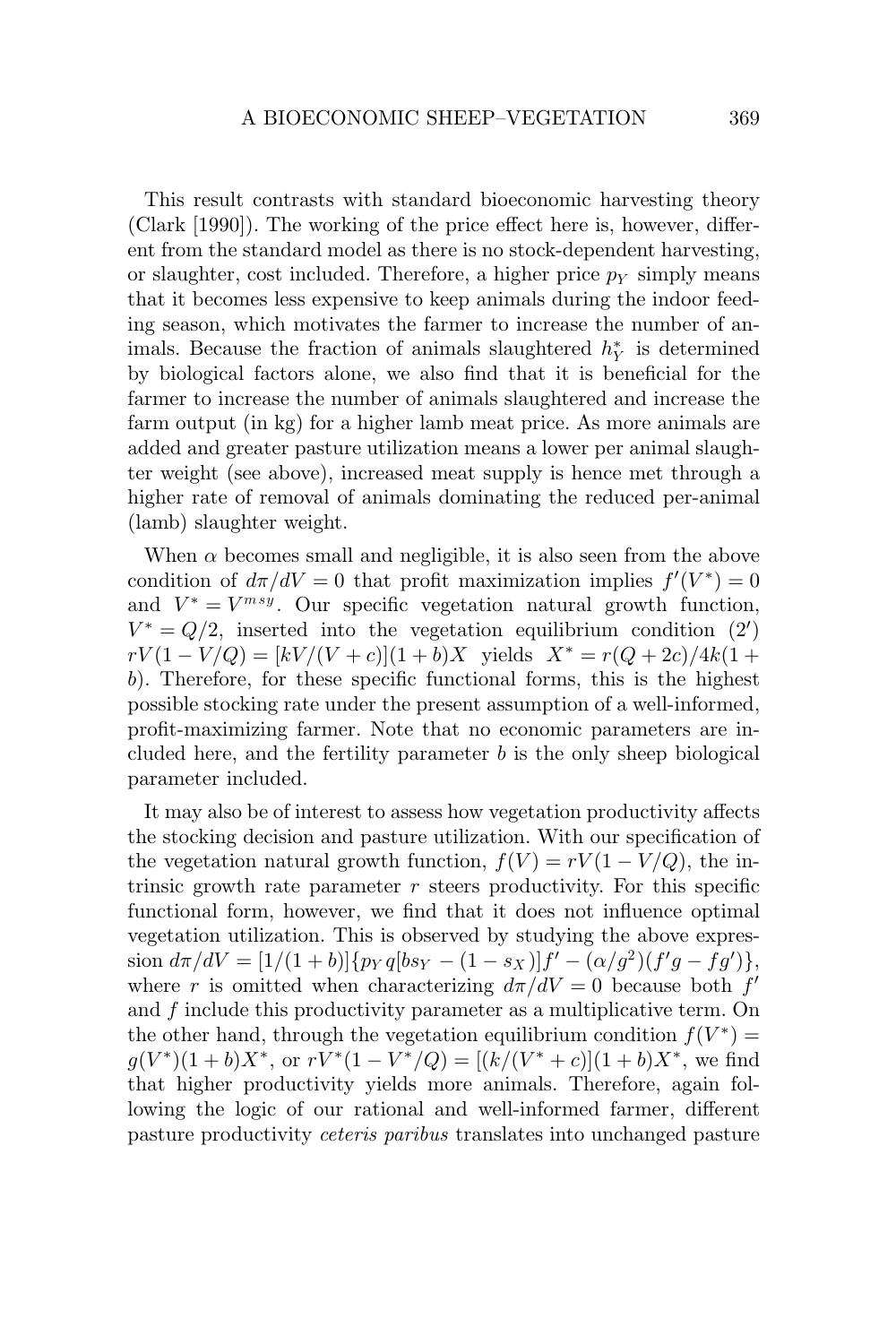This result contrasts with standard bioeconomic harvesting theory (Clark [1990]). The working of the price effect here is, however, different from the standard model as there is no stock-dependent harvesting, or slaughter, cost included. Therefore, a higher price  $p<sub>Y</sub>$  simply means that it becomes less expensive to keep animals during the indoor feeding season, which motivates the farmer to increase the number of animals. Because the fraction of animals slaughtered  $h_Y^*$  is determined by biological factors alone, we also find that it is beneficial for the farmer to increase the number of animals slaughtered and increase the farm output (in kg) for a higher lamb meat price. As more animals are added and greater pasture utilization means a lower per animal slaughter weight (see above), increased meat supply is hence met through a higher rate of removal of animals dominating the reduced per-animal (lamb) slaughter weight.

When  $\alpha$  becomes small and negligible, it is also seen from the above condition of  $d\pi/dV = 0$  that profit maximization implies  $f'(V^*) = 0$ and  $V^* = V^{msy}$ . Our specific vegetation natural growth function,  $V^* = Q/2$ , inserted into the vegetation equilibrium condition  $(2')$  $rV(1 - V/Q) = [kV/(V + c)](1 + b)X$  yields  $X^* = r(Q + 2c)/4k(1 +$ b). Therefore, for these specific functional forms, this is the highest possible stocking rate under the present assumption of a well-informed, profit-maximizing farmer. Note that no economic parameters are included here, and the fertility parameter  $b$  is the only sheep biological parameter included.

It may also be of interest to assess how vegetation productivity affects the stocking decision and pasture utilization. With our specification of the vegetation natural growth function,  $f(V) = rV(1 - V/Q)$ , the intrinsic growth rate parameter  $r$  steers productivity. For this specific functional form, however, we find that it does not influence optimal vegetation utilization. This is observed by studying the above expres- $\sin d\pi/dV = [1/(1+b)]\{p_Y q[bs_Y - (1-s_X)]f' - (\alpha/g^2)(f'g - fg')\},\,$ where r is omitted when characterizing  $d\pi/dV = 0$  because both  $f'$ and f include this productivity parameter as a multiplicative term. On the other hand, through the vegetation equilibrium condition  $f(V^*) =$  $g(V^*)(1+b)X^*$ , or  $rV^*(1-V^*/Q) = [(k/(V^*+c)](1+b)X^*$ , we find that higher productivity yields more animals. Therefore, again following the logic of our rational and well-informed farmer, different pasture productivity ceteris paribus translates into unchanged pasture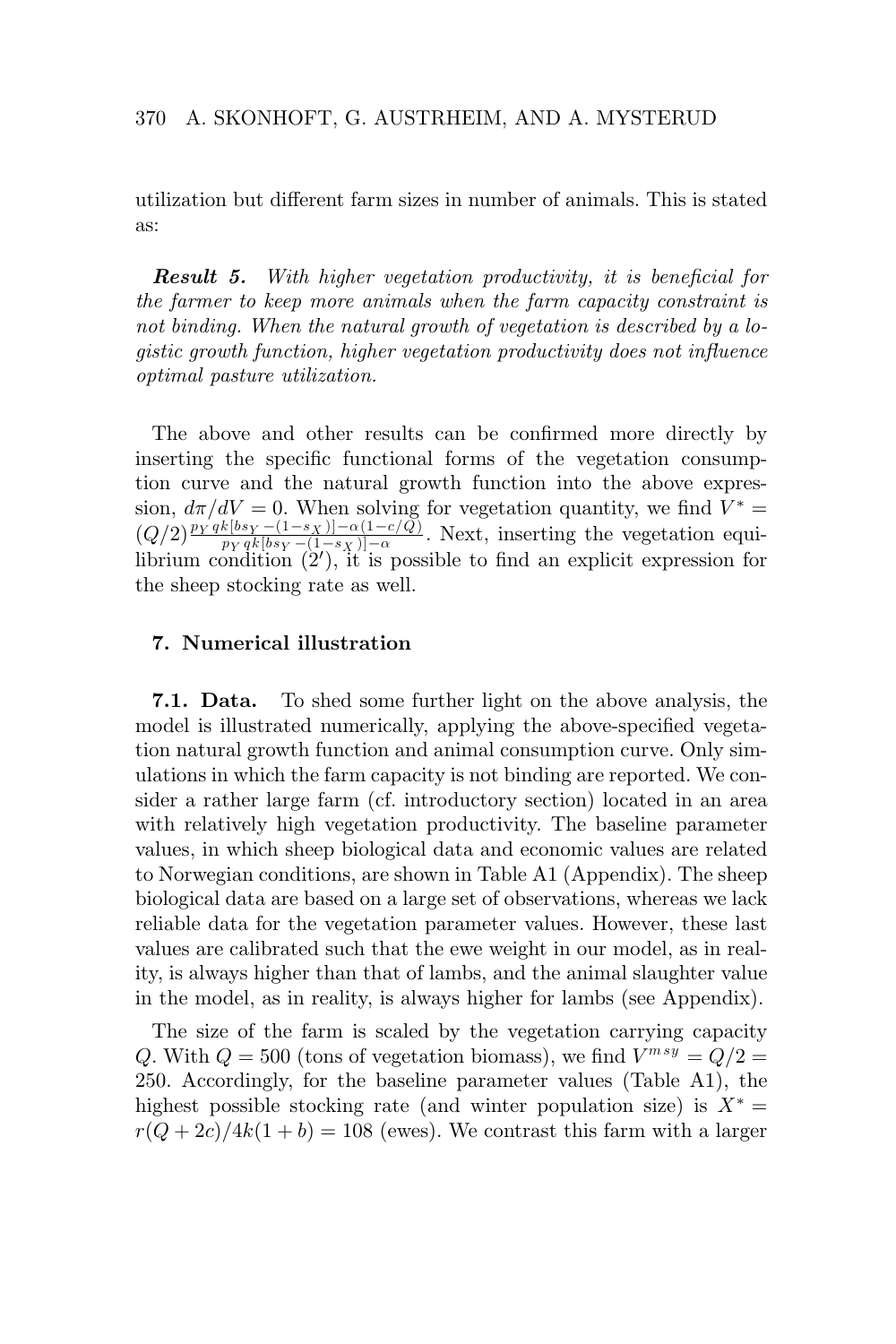utilization but different farm sizes in number of animals. This is stated as:

*Result 5.* With higher vegetation productivity, it is beneficial for the farmer to keep more animals when the farm capacity constraint is not binding. When the natural growth of vegetation is described by a logistic growth function, higher vegetation productivity does not influence optimal pasture utilization.

The above and other results can be confirmed more directly by inserting the specific functional forms of the vegetation consumption curve and the natural growth function into the above expression,  $d\pi/dV = 0$ . When solving for vegetation quantity, we find  $V^* =$  $(Q/2) \frac{p_Y q_k [bs_Y - (1-s_X)] - \alpha (1-c/Q)}{p_Y q_k [bs_Y - (1-s_X)] - \alpha}$ . Next, inserting the vegetation equilibrium condition  $(2')$ , it is possible to find an explicit expression for the sheep stocking rate as well.

# **7. Numerical illustration**

**7.1. Data.** To shed some further light on the above analysis, the model is illustrated numerically, applying the above-specified vegetation natural growth function and animal consumption curve. Only simulations in which the farm capacity is not binding are reported. We consider a rather large farm (cf. introductory section) located in an area with relatively high vegetation productivity. The baseline parameter values, in which sheep biological data and economic values are related to Norwegian conditions, are shown in Table A1 (Appendix). The sheep biological data are based on a large set of observations, whereas we lack reliable data for the vegetation parameter values. However, these last values are calibrated such that the ewe weight in our model, as in reality, is always higher than that of lambs, and the animal slaughter value in the model, as in reality, is always higher for lambs (see Appendix).

The size of the farm is scaled by the vegetation carrying capacity Q. With  $Q = 500$  (tons of vegetation biomass), we find  $V^{msy} = Q/2 =$ 250. Accordingly, for the baseline parameter values (Table A1), the highest possible stocking rate (and winter population size) is  $X^* =$  $r(Q + 2c)/4k(1 + b) = 108$  (ewes). We contrast this farm with a larger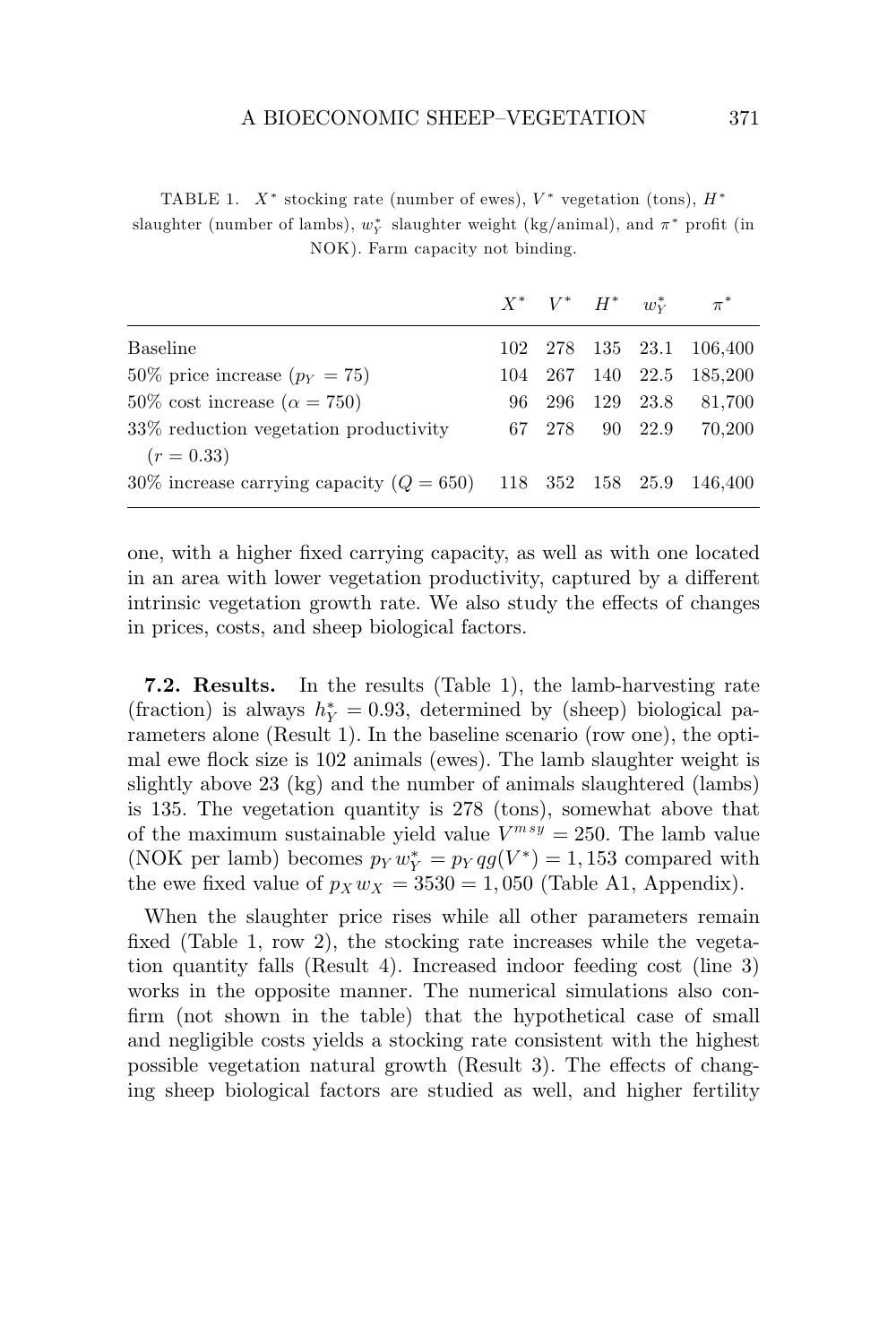TABLE 1.  $X^*$  stocking rate (number of ewes),  $V^*$  vegetation (tons),  $H^*$ slaughter (number of lambs),  $w_{Y}^{*}$  slaughter weight (kg/animal), and  $\pi^{*}$  profit (in NOK). Farm capacity not binding.

|                                                                     |     |        | $X^*$ $V^*$ $H^*$ $w_Y^*$ | $\pi^*$                  |
|---------------------------------------------------------------------|-----|--------|---------------------------|--------------------------|
| Baseline                                                            |     |        |                           | 102 278 135 23.1 106,400 |
| $50\%$ price increase $(p_Y = 75)$                                  |     |        |                           | 104 267 140 22.5 185,200 |
| $50\%$ cost increase ( $\alpha = 750$ )                             | 96. | -296   |                           | 129 23.8 81,700          |
| 33\% reduction vegetation productivity<br>$(r = 0.33)$              |     | 67 278 | 90 22.9                   | 70,200                   |
| 30% increase carrying capacity $(Q = 650)$ 118 352 158 25.9 146,400 |     |        |                           |                          |

one, with a higher fixed carrying capacity, as well as with one located in an area with lower vegetation productivity, captured by a different intrinsic vegetation growth rate. We also study the effects of changes in prices, costs, and sheep biological factors.

**7.2. Results.** In the results (Table 1), the lamb-harvesting rate (fraction) is always  $h_Y^* = 0.93$ , determined by (sheep) biological parameters alone (Result 1). In the baseline scenario (row one), the optimal ewe flock size is 102 animals (ewes). The lamb slaughter weight is slightly above 23 (kg) and the number of animals slaughtered (lambs) is 135. The vegetation quantity is 278 (tons), somewhat above that of the maximum sustainable yield value  $V^{m} = 250$ . The lamb value (NOK per lamb) becomes  $p_Y w_Y^* = p_Y q g(V^*) = 1,153$  compared with the ewe fixed value of  $p_X w_X = 3530 = 1,050$  (Table A1, Appendix).

When the slaughter price rises while all other parameters remain fixed (Table 1, row 2), the stocking rate increases while the vegetation quantity falls (Result 4). Increased indoor feeding cost (line 3) works in the opposite manner. The numerical simulations also confirm (not shown in the table) that the hypothetical case of small and negligible costs yields a stocking rate consistent with the highest possible vegetation natural growth (Result 3). The effects of changing sheep biological factors are studied as well, and higher fertility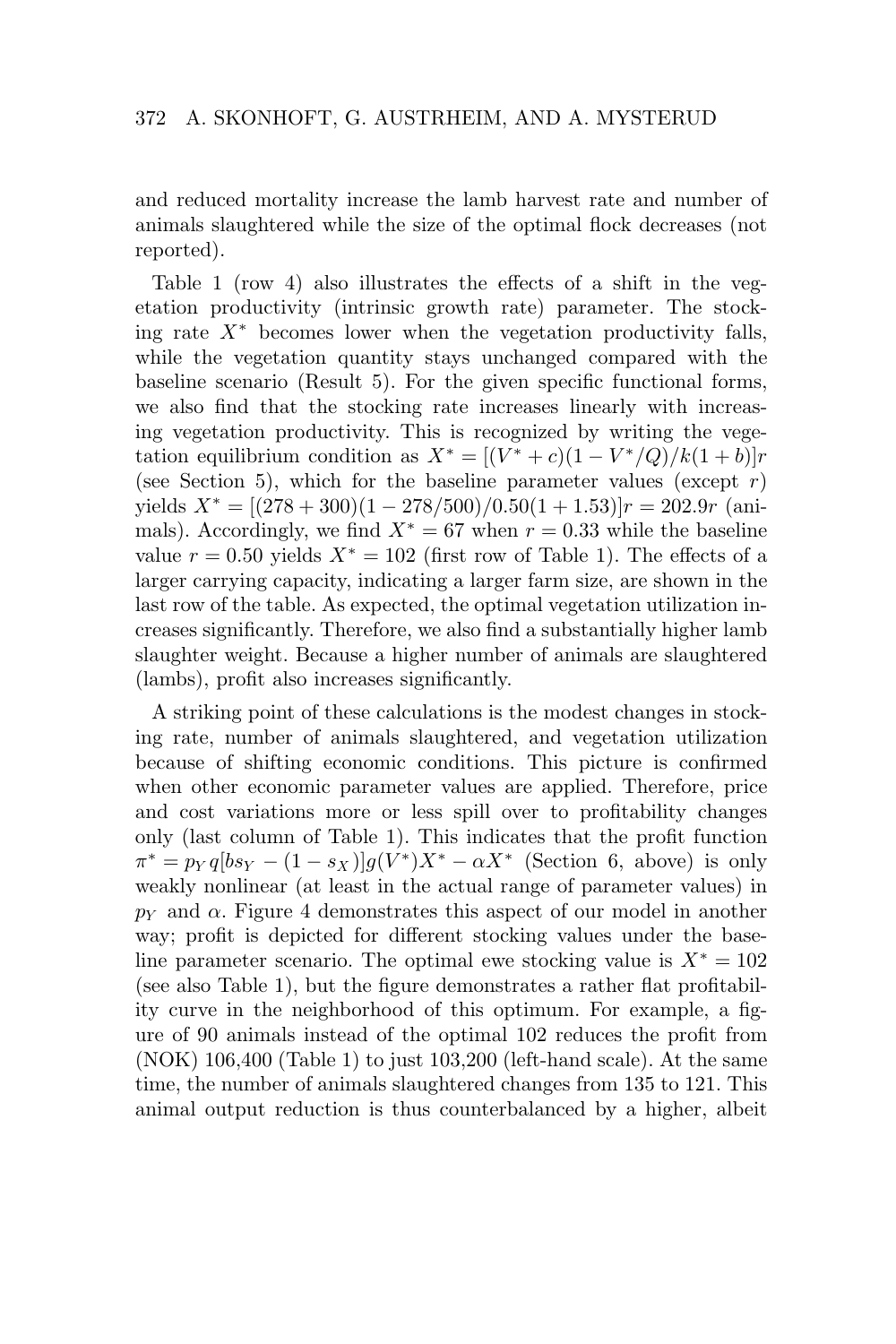and reduced mortality increase the lamb harvest rate and number of animals slaughtered while the size of the optimal flock decreases (not reported).

Table 1 (row 4) also illustrates the effects of a shift in the vegetation productivity (intrinsic growth rate) parameter. The stocking rate  $X^*$  becomes lower when the vegetation productivity falls, while the vegetation quantity stays unchanged compared with the baseline scenario (Result 5). For the given specific functional forms, we also find that the stocking rate increases linearly with increasing vegetation productivity. This is recognized by writing the vegetation equilibrium condition as  $X^* = [(V^* + c)(1 - V^*/Q)/k(1 + b)]r$ (see Section 5), which for the baseline parameter values (except  $r$ ) yields  $X^* = [(278 + 300)(1 - 278/500)/0.50(1 + 1.53)]r = 202.9r$  (animals). Accordingly, we find  $X^* = 67$  when  $r = 0.33$  while the baseline value  $r = 0.50$  yields  $X^* = 102$  (first row of Table 1). The effects of a larger carrying capacity, indicating a larger farm size, are shown in the last row of the table. As expected, the optimal vegetation utilization increases significantly. Therefore, we also find a substantially higher lamb slaughter weight. Because a higher number of animals are slaughtered (lambs), profit also increases significantly.

A striking point of these calculations is the modest changes in stocking rate, number of animals slaughtered, and vegetation utilization because of shifting economic conditions. This picture is confirmed when other economic parameter values are applied. Therefore, price and cost variations more or less spill over to profitability changes only (last column of Table 1). This indicates that the profit function  $\pi^* = p_Y q[bs_Y - (1 - s_X)]g(V^*)X^* - \alpha X^*$  (Section 6, above) is only weakly nonlinear (at least in the actual range of parameter values) in  $p_Y$  and  $\alpha$ . Figure 4 demonstrates this aspect of our model in another way; profit is depicted for different stocking values under the baseline parameter scenario. The optimal ewe stocking value is  $X^* = 102$ (see also Table 1), but the figure demonstrates a rather flat profitability curve in the neighborhood of this optimum. For example, a figure of 90 animals instead of the optimal 102 reduces the profit from (NOK) 106,400 (Table 1) to just 103,200 (left-hand scale). At the same time, the number of animals slaughtered changes from 135 to 121. This animal output reduction is thus counterbalanced by a higher, albeit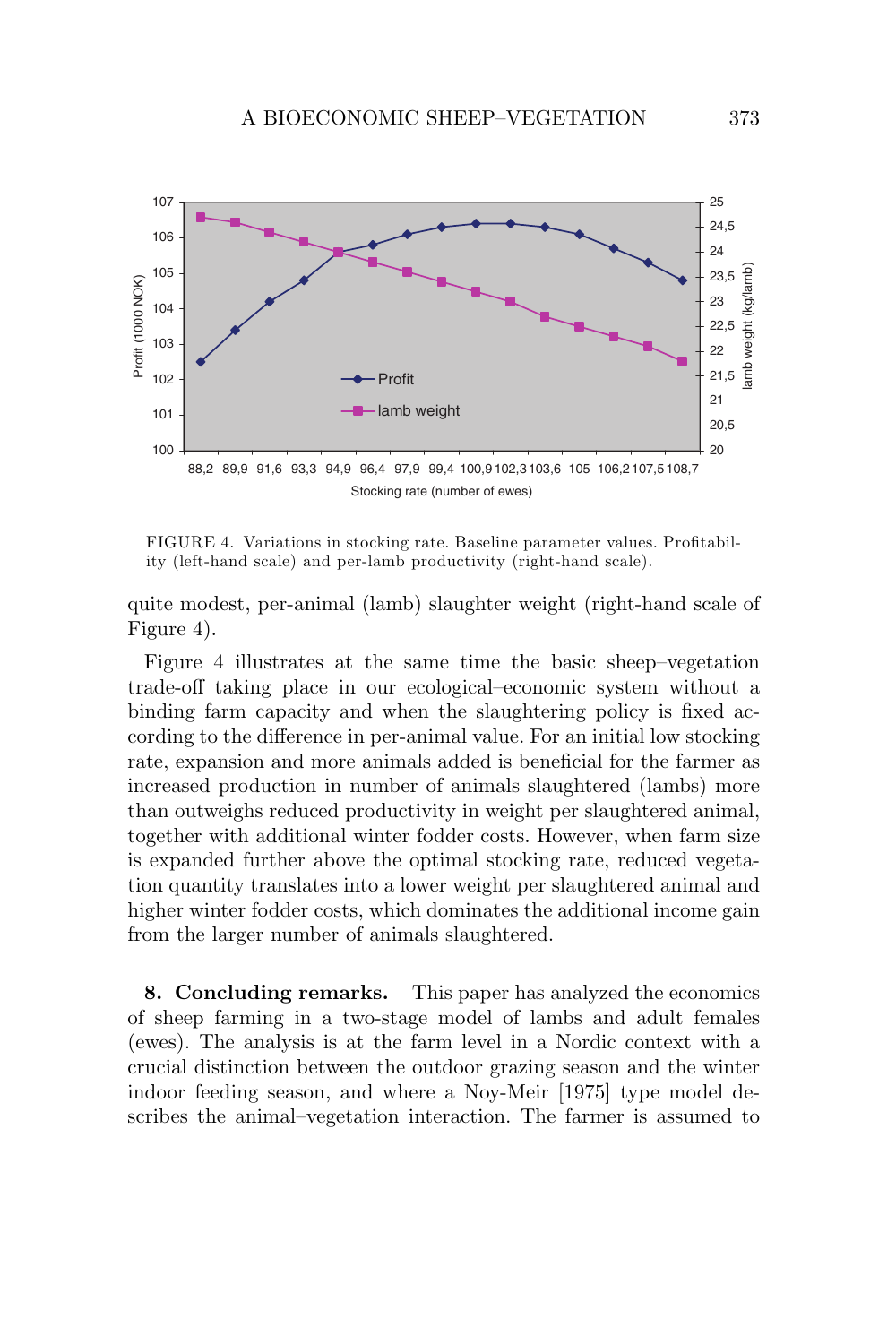

FIGURE 4. Variations in stocking rate. Baseline parameter values. Profitability (left-hand scale) and per-lamb productivity (right-hand scale).

quite modest, per-animal (lamb) slaughter weight (right-hand scale of Figure 4).

Figure 4 illustrates at the same time the basic sheep–vegetation trade-off taking place in our ecological–economic system without a binding farm capacity and when the slaughtering policy is fixed according to the difference in per-animal value. For an initial low stocking rate, expansion and more animals added is beneficial for the farmer as increased production in number of animals slaughtered (lambs) more than outweighs reduced productivity in weight per slaughtered animal, together with additional winter fodder costs. However, when farm size is expanded further above the optimal stocking rate, reduced vegetation quantity translates into a lower weight per slaughtered animal and higher winter fodder costs, which dominates the additional income gain from the larger number of animals slaughtered.

**8. Concluding remarks.** This paper has analyzed the economics of sheep farming in a two-stage model of lambs and adult females (ewes). The analysis is at the farm level in a Nordic context with a crucial distinction between the outdoor grazing season and the winter indoor feeding season, and where a Noy-Meir [1975] type model describes the animal–vegetation interaction. The farmer is assumed to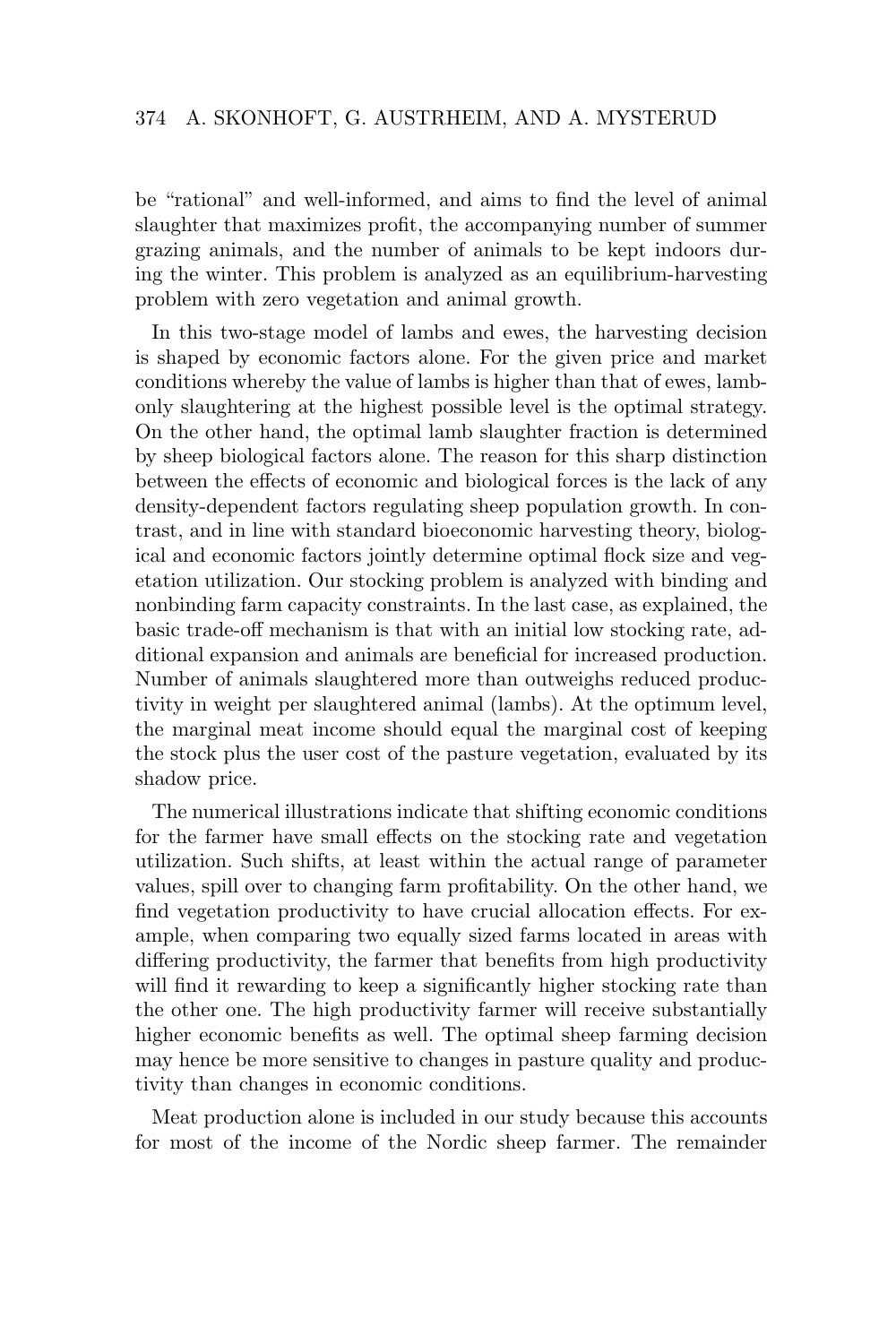be "rational" and well-informed, and aims to find the level of animal slaughter that maximizes profit, the accompanying number of summer grazing animals, and the number of animals to be kept indoors during the winter. This problem is analyzed as an equilibrium-harvesting problem with zero vegetation and animal growth.

In this two-stage model of lambs and ewes, the harvesting decision is shaped by economic factors alone. For the given price and market conditions whereby the value of lambs is higher than that of ewes, lambonly slaughtering at the highest possible level is the optimal strategy. On the other hand, the optimal lamb slaughter fraction is determined by sheep biological factors alone. The reason for this sharp distinction between the effects of economic and biological forces is the lack of any density-dependent factors regulating sheep population growth. In contrast, and in line with standard bioeconomic harvesting theory, biological and economic factors jointly determine optimal flock size and vegetation utilization. Our stocking problem is analyzed with binding and nonbinding farm capacity constraints. In the last case, as explained, the basic trade-off mechanism is that with an initial low stocking rate, additional expansion and animals are beneficial for increased production. Number of animals slaughtered more than outweighs reduced productivity in weight per slaughtered animal (lambs). At the optimum level, the marginal meat income should equal the marginal cost of keeping the stock plus the user cost of the pasture vegetation, evaluated by its shadow price.

The numerical illustrations indicate that shifting economic conditions for the farmer have small effects on the stocking rate and vegetation utilization. Such shifts, at least within the actual range of parameter values, spill over to changing farm profitability. On the other hand, we find vegetation productivity to have crucial allocation effects. For example, when comparing two equally sized farms located in areas with differing productivity, the farmer that benefits from high productivity will find it rewarding to keep a significantly higher stocking rate than the other one. The high productivity farmer will receive substantially higher economic benefits as well. The optimal sheep farming decision may hence be more sensitive to changes in pasture quality and productivity than changes in economic conditions.

Meat production alone is included in our study because this accounts for most of the income of the Nordic sheep farmer. The remainder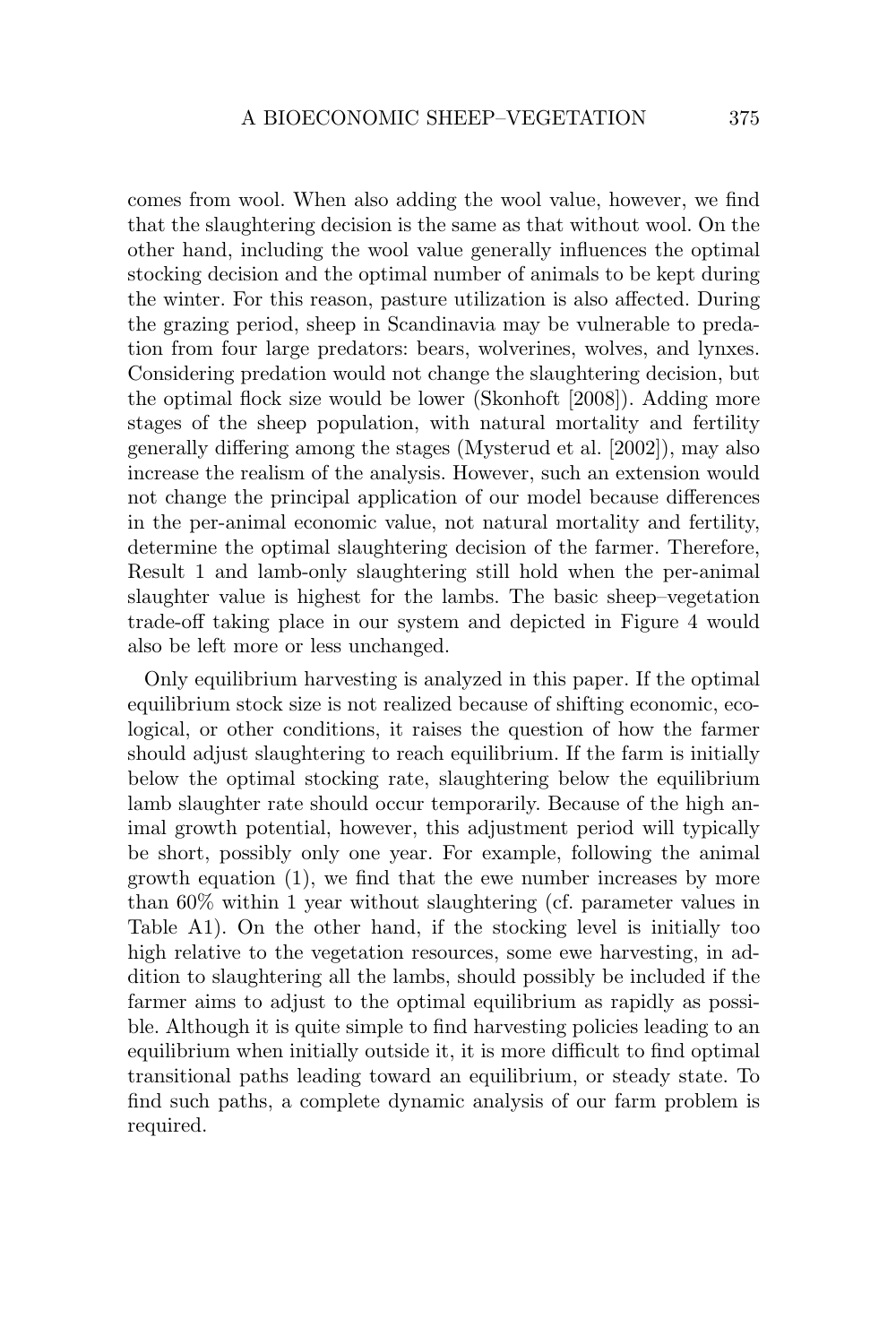comes from wool. When also adding the wool value, however, we find that the slaughtering decision is the same as that without wool. On the other hand, including the wool value generally influences the optimal stocking decision and the optimal number of animals to be kept during the winter. For this reason, pasture utilization is also affected. During the grazing period, sheep in Scandinavia may be vulnerable to predation from four large predators: bears, wolverines, wolves, and lynxes. Considering predation would not change the slaughtering decision, but the optimal flock size would be lower (Skonhoft [2008]). Adding more stages of the sheep population, with natural mortality and fertility generally differing among the stages (Mysterud et al. [2002]), may also increase the realism of the analysis. However, such an extension would not change the principal application of our model because differences in the per-animal economic value, not natural mortality and fertility, determine the optimal slaughtering decision of the farmer. Therefore, Result 1 and lamb-only slaughtering still hold when the per-animal slaughter value is highest for the lambs. The basic sheep–vegetation trade-off taking place in our system and depicted in Figure 4 would also be left more or less unchanged.

Only equilibrium harvesting is analyzed in this paper. If the optimal equilibrium stock size is not realized because of shifting economic, ecological, or other conditions, it raises the question of how the farmer should adjust slaughtering to reach equilibrium. If the farm is initially below the optimal stocking rate, slaughtering below the equilibrium lamb slaughter rate should occur temporarily. Because of the high animal growth potential, however, this adjustment period will typically be short, possibly only one year. For example, following the animal growth equation (1), we find that the ewe number increases by more than 60% within 1 year without slaughtering (cf. parameter values in Table A1). On the other hand, if the stocking level is initially too high relative to the vegetation resources, some ewe harvesting, in addition to slaughtering all the lambs, should possibly be included if the farmer aims to adjust to the optimal equilibrium as rapidly as possible. Although it is quite simple to find harvesting policies leading to an equilibrium when initially outside it, it is more difficult to find optimal transitional paths leading toward an equilibrium, or steady state. To find such paths, a complete dynamic analysis of our farm problem is required.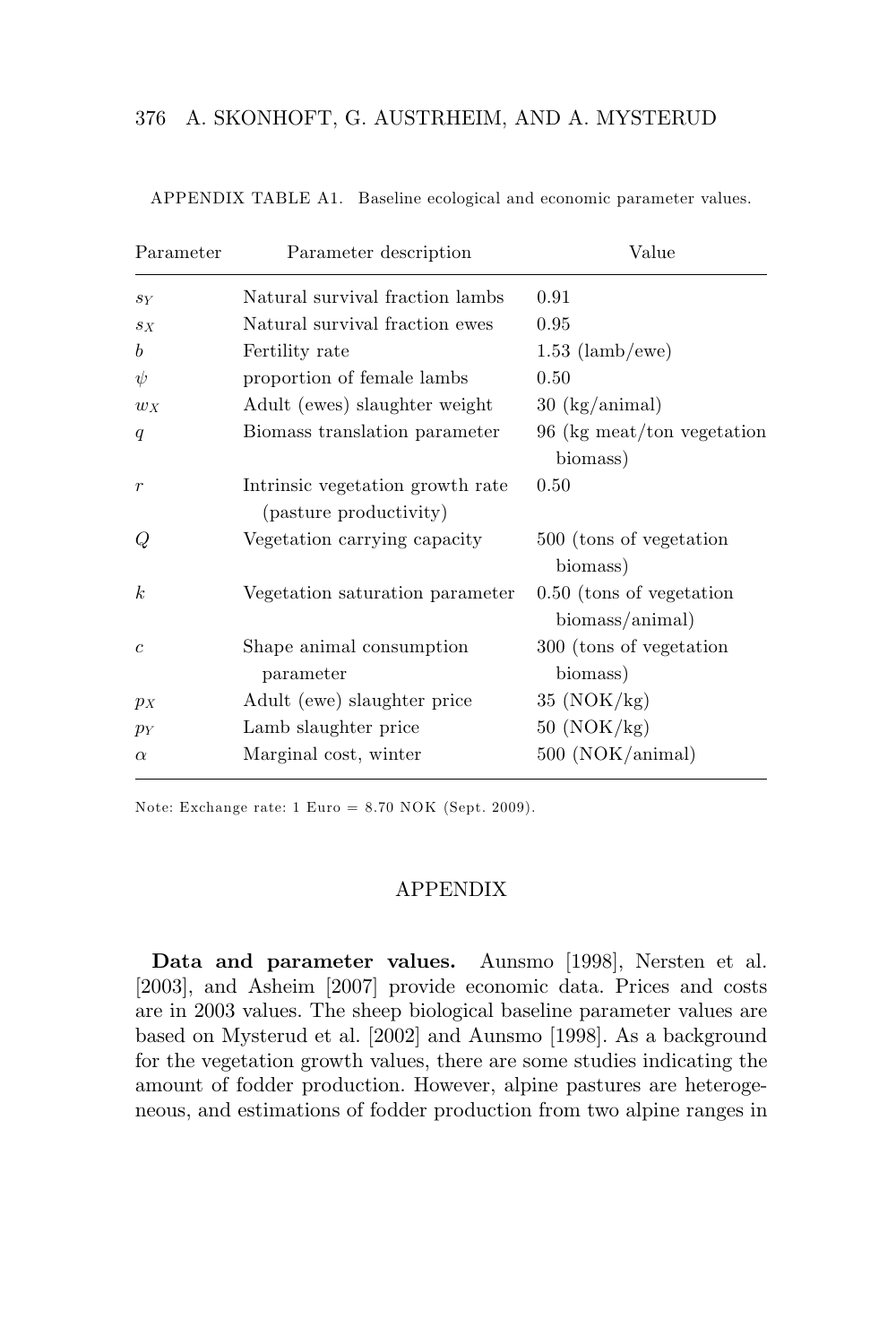| Parameter        | Parameter description                                      | Value                                         |
|------------------|------------------------------------------------------------|-----------------------------------------------|
| $S_{Y}$          | Natural survival fraction lambs                            | 0.91                                          |
| $S_X$            | Natural survival fraction ewes                             | 0.95                                          |
| b                | Fertility rate                                             | $1.53$ (lamb/ewe)                             |
| $\psi$           | proportion of female lambs                                 | 0.50                                          |
| $w_X$            | Adult (ewes) slaughter weight                              | $30 \; (\text{kg/animal})$                    |
| q                | Biomass translation parameter                              | 96 (kg meat/ton vegetation<br>biomass)        |
| $\boldsymbol{r}$ | Intrinsic vegetation growth rate<br>(pasture productivity) | 0.50                                          |
| Q                | Vegetation carrying capacity                               | 500 (tons of vegetation<br>biomass)           |
| $\boldsymbol{k}$ | Vegetation saturation parameter                            | $0.50$ (tons of vegetation<br>biomass/animal) |
| $\mathfrak{c}$   | Shape animal consumption<br>parameter                      | 300 (tons of vegetation<br>biomass)           |
| $p_X$            | Adult (ewe) slaughter price                                | $35 \text{ (NOK/kg)}$                         |
| $p_Y$            | Lamb slaughter price                                       | $50 \text{ (NOK/kg)}$                         |
| $\alpha$         | Marginal cost, winter                                      | $500$ (NOK/animal)                            |

APPENDIX TABLE A1. Baseline ecological and economic parameter values.

Note: Exchange rate: 1 Euro = 8.70 NOK (Sept. 2009).

# APPENDIX

**Data and parameter values.** Aunsmo [1998], Nersten et al. [2003], and Asheim [2007] provide economic data. Prices and costs are in 2003 values. The sheep biological baseline parameter values are based on Mysterud et al. [2002] and Aunsmo [1998]. As a background for the vegetation growth values, there are some studies indicating the amount of fodder production. However, alpine pastures are heterogeneous, and estimations of fodder production from two alpine ranges in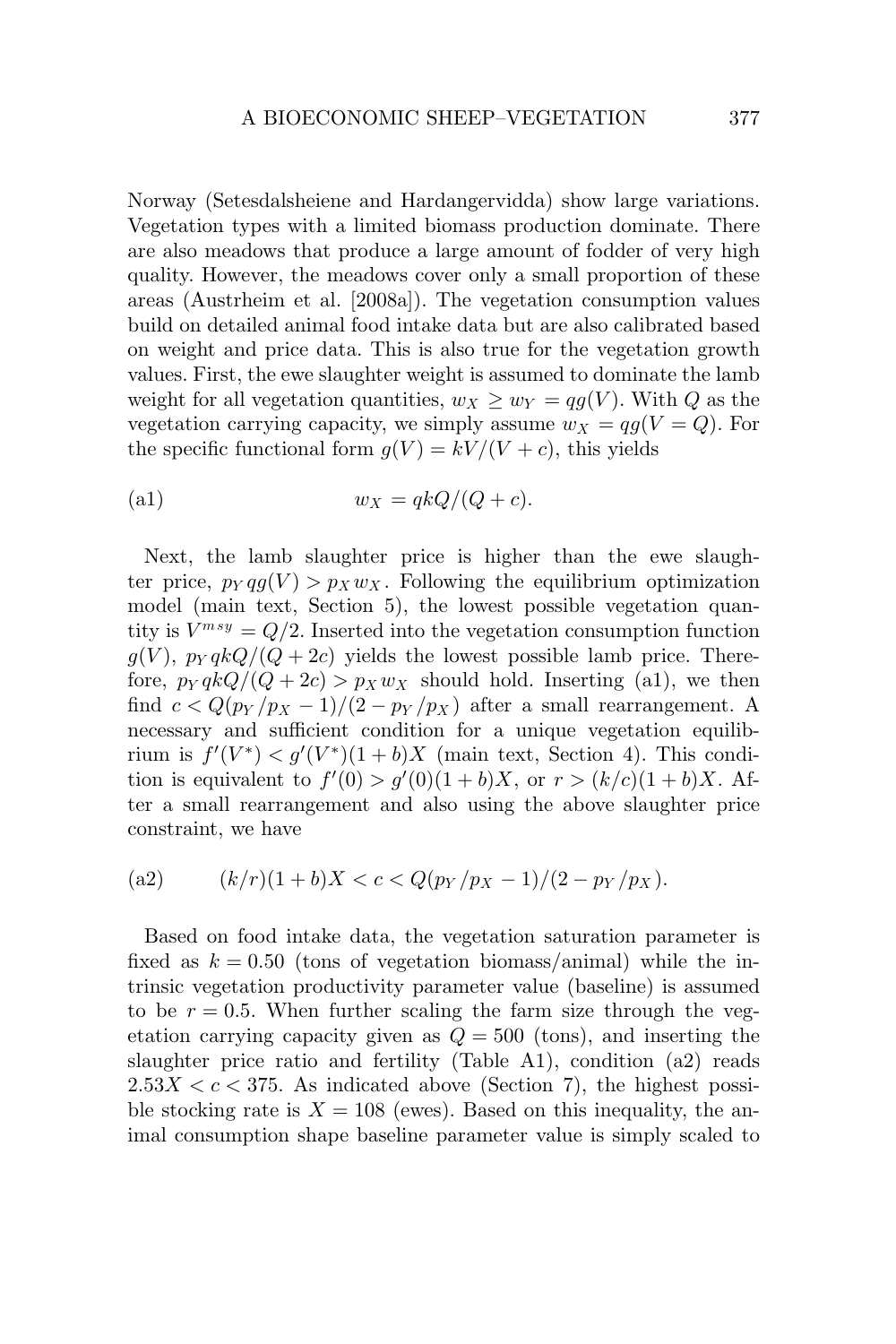Norway (Setesdalsheiene and Hardangervidda) show large variations. Vegetation types with a limited biomass production dominate. There are also meadows that produce a large amount of fodder of very high quality. However, the meadows cover only a small proportion of these areas (Austrheim et al. [2008a]). The vegetation consumption values build on detailed animal food intake data but are also calibrated based on weight and price data. This is also true for the vegetation growth values. First, the ewe slaughter weight is assumed to dominate the lamb weight for all vegetation quantities,  $w_X > w_Y = qq(V)$ . With Q as the vegetation carrying capacity, we simply assume  $w_X = qq(V = Q)$ . For the specific functional form  $q(V) = kV/(V + c)$ , this yields

$$
(a1) \t\t w_X = qkQ/(Q+c).
$$

Next, the lamb slaughter price is higher than the ewe slaughter price,  $p_Y qq(V) > p_X w_X$ . Following the equilibrium optimization model (main text, Section 5), the lowest possible vegetation quantity is  $V^{msy} = Q/2$ . Inserted into the vegetation consumption function  $q(V)$ ,  $p_Y q kQ/(Q + 2c)$  yields the lowest possible lamb price. Therefore,  $p_Y q kQ/(Q + 2c) > p_X w_X$  should hold. Inserting (a1), we then find  $c < Q(p_Y / p_X - 1)/(2 - p_Y / p_X)$  after a small rearrangement. A necessary and sufficient condition for a unique vegetation equilibrium is  $f'(V^*) < g'(V^*)(1 + b)X$  (main text, Section 4). This condition is equivalent to  $f'(0) > g'(0)(1+b)X$ , or  $r > (k/c)(1+b)X$ . After a small rearrangement and also using the above slaughter price constraint, we have

(a2) 
$$
(k/r)(1+b)X < c < Q(p_Y/p_X - 1)/(2 - p_Y/p_X).
$$

Based on food intake data, the vegetation saturation parameter is fixed as  $k = 0.50$  (tons of vegetation biomass/animal) while the intrinsic vegetation productivity parameter value (baseline) is assumed to be  $r = 0.5$ . When further scaling the farm size through the vegetation carrying capacity given as  $Q = 500$  (tons), and inserting the slaughter price ratio and fertility (Table A1), condition (a2) reads  $2.53X < c < 375$ . As indicated above (Section 7), the highest possible stocking rate is  $X = 108$  (ewes). Based on this inequality, the animal consumption shape baseline parameter value is simply scaled to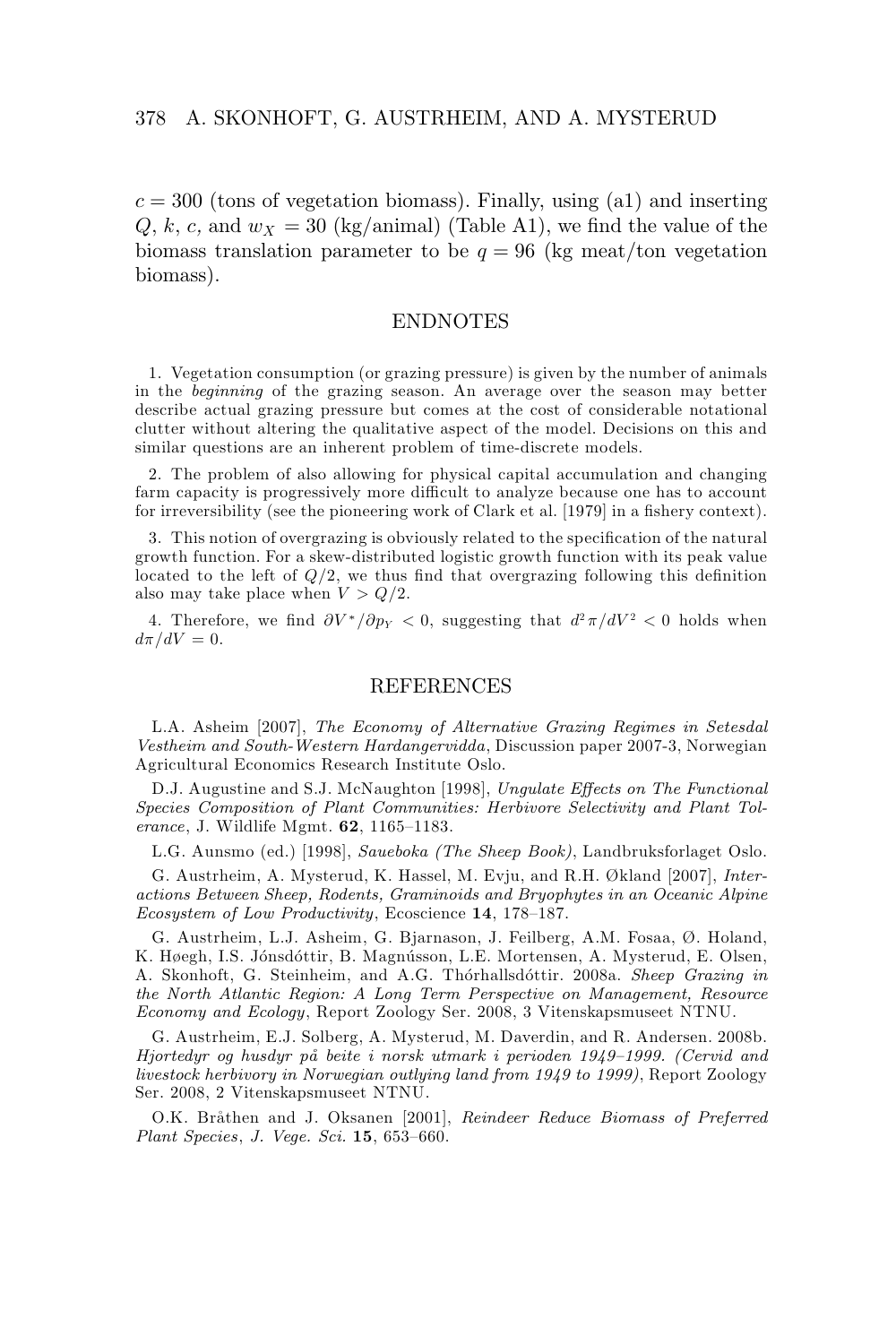$c = 300$  (tons of vegetation biomass). Finally, using (a1) and inserting Q, k, c, and  $w_X = 30$  (kg/animal) (Table A1), we find the value of the biomass translation parameter to be  $q = 96$  (kg meat/ton vegetation biomass).

### **ENDNOTES**

1. Vegetation consumption (or grazing pressure) is given by the number of animals in the beginning of the grazing season. An average over the season may better describe actual grazing pressure but comes at the cost of considerable notational clutter without altering the qualitative aspect of the model. Decisions on this and similar questions are an inherent problem of time-discrete models.

2. The problem of also allowing for physical capital accumulation and changing farm capacity is progressively more difficult to analyze because one has to account for irreversibility (see the pioneering work of Clark et al. [1979] in a fishery context).

3. This notion of overgrazing is obviously related to the specification of the natural growth function. For a skew-distributed logistic growth function with its peak value located to the left of  $Q/2$ , we thus find that overgrazing following this definition also may take place when  $V > Q/2$ .

4. Therefore, we find  $\partial V^*/\partial p_Y < 0$ , suggesting that  $d^2 \pi/dV^2 < 0$  holds when  $d\pi/dV = 0.$ 

#### REFERENCES

L.A. Asheim [2007], The Economy of Alternative Grazing Regimes in Setesdal Vestheim and South-Western Hardangervidda, Discussion paper 2007-3, Norwegian Agricultural Economics Research Institute Oslo.

D.J. Augustine and S.J. McNaughton [1998], Ungulate Effects on The Functional Species Composition of Plant Communities: Herbivore Selectivity and Plant Tolerance, J. Wildlife Mgmt. **62**, 1165–1183.

L.G. Aunsmo (ed.) [1998], Saueboka (The Sheep Book), Landbruksforlaget Oslo.

G. Austrheim, A. Mysterud, K. Hassel, M. Evju, and R.H. Økland [2007], Interactions Between Sheep, Rodents, Graminoids and Bryophytes in an Oceanic Alpine Ecosystem of Low Productivity, Ecoscience **14**, 178–187.

G. Austrheim, L.J. Asheim, G. Bjarnason, J. Feilberg, A.M. Fosaa, Ø. Holand, K. Høegh, I.S. Jónsdóttir, B. Magnússon, L.E. Mortensen, A. Mysterud, E. Olsen, A. Skonhoft, G. Steinheim, and A.G. Thórhallsdóttir. 2008a. Sheep Grazing in the North Atlantic Region: A Long Term Perspective on Management, Resource Economy and Ecology, Report Zoology Ser. 2008, 3 Vitenskapsmuseet NTNU.

G. Austrheim, E.J. Solberg, A. Mysterud, M. Daverdin, and R. Andersen. 2008b. Hjortedyr og husdyr på beite i norsk utmark i perioden 1949–1999. (Cervid and livestock herbivory in Norwegian outlying land from 1949 to 1999), Report Zoology Ser. 2008, 2 Vitenskapsmuseet NTNU.

O.K. Bråthen and J. Oksanen [2001], Reindeer Reduce Biomass of Preferred Plant Species, J. Vege. Sci. **15**, 653–660.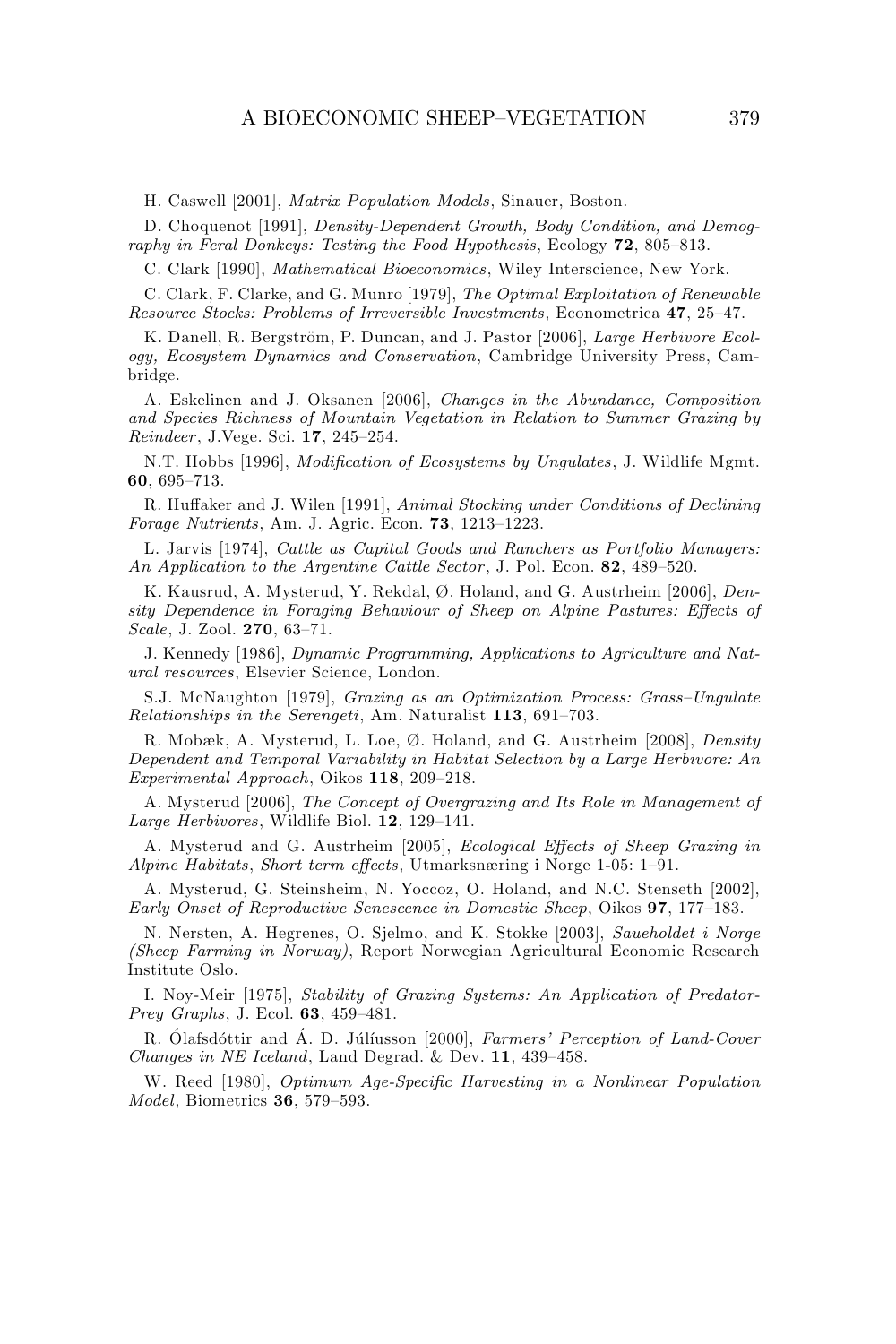H. Caswell [2001], Matrix Population Models, Sinauer, Boston.

D. Choquenot [1991], Density-Dependent Growth, Body Condition, and Demography in Feral Donkeys: Testing the Food Hypothesis, Ecology **72**, 805–813.

C. Clark [1990], Mathematical Bioeconomics, Wiley Interscience, New York.

C. Clark, F. Clarke, and G. Munro [1979], The Optimal Exploitation of Renewable Resource Stocks: Problems of Irreversible Investments, Econometrica **47**, 25–47.

K. Danell, R. Bergström, P. Duncan, and J. Pastor [2006], Large Herbivore Ecology, Ecosystem Dynamics and Conservation, Cambridge University Press, Cambridge.

A. Eskelinen and J. Oksanen [2006], Changes in the Abundance, Composition and Species Richness of Mountain Vegetation in Relation to Summer Grazing by Reindeer, J.Vege. Sci. **17**, 245–254.

N.T. Hobbs [1996], Modification of Ecosystems by Ungulates, J. Wildlife Mgmt. **60**, 695–713.

R. Huffaker and J. Wilen [1991], Animal Stocking under Conditions of Declining Forage Nutrients, Am. J. Agric. Econ. **73**, 1213–1223.

L. Jarvis [1974], Cattle as Capital Goods and Ranchers as Portfolio Managers: An Application to the Argentine Cattle Sector, J. Pol. Econ. **82**, 489–520.

K. Kausrud, A. Mysterud, Y. Rekdal, Ø. Holand, and G. Austrheim [2006], Density Dependence in Foraging Behaviour of Sheep on Alpine Pastures: Effects of Scale, J. Zool. **270**, 63–71.

J. Kennedy [1986], Dynamic Programming, Applications to Agriculture and Natural resources, Elsevier Science, London.

S.J. McNaughton [1979], Grazing as an Optimization Process: Grass–Ungulate Relationships in the Serengeti, Am. Naturalist **113**, 691–703.

R. Mobæk, A. Mysterud, L. Loe, Ø. Holand, and G. Austrheim [2008], Density Dependent and Temporal Variability in Habitat Selection by a Large Herbivore: An Experimental Approach, Oikos **118**, 209–218.

A. Mysterud [2006], The Concept of Overgrazing and Its Role in Management of Large Herbivores, Wildlife Biol. **12**, 129–141.

A. Mysterud and G. Austrheim [2005], Ecological Effects of Sheep Grazing in Alpine Habitats, Short term effects, Utmarksnæring i Norge 1-05: 1–91.

A. Mysterud, G. Steinsheim, N. Yoccoz, O. Holand, and N.C. Stenseth [2002], Early Onset of Reproductive Senescence in Domestic Sheep, Oikos **97**, 177–183.

N. Nersten, A. Hegrenes, O. Sjelmo, and K. Stokke [2003], Saueholdet i Norge (Sheep Farming in Norway), Report Norwegian Agricultural Economic Research Institute Oslo.

I. Noy-Meir [1975], Stability of Grazing Systems: An Application of Predator-Prey Graphs, J. Ecol. **63**, 459–481.

R. Ólafsdóttir and Á. D. Júlíusson [2000], Farmers' Perception of Land-Cover Changes in NE Iceland, Land Degrad. & Dev. **11**, 439–458.

W. Reed [1980], Optimum Age-Specific Harvesting in a Nonlinear Population Model, Biometrics **36**, 579–593.